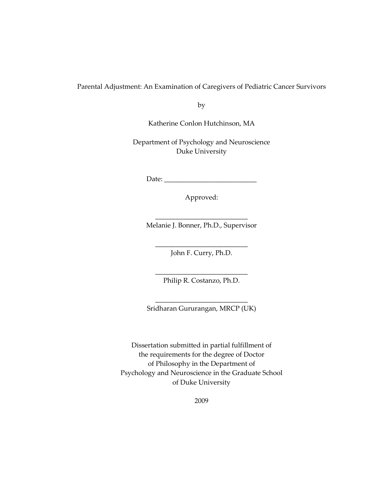Parental Adjustment: An Examination of Caregivers of Pediatric Cancer Survivors

by

Katherine Conlon Hutchinson, MA

Department of Psychology and Neuroscience Duke University

Date: \_\_\_\_\_\_\_\_\_\_\_\_\_\_\_\_\_\_\_\_\_\_\_\_\_\_\_

Approved:

\_\_\_\_\_\_\_\_\_\_\_\_\_\_\_\_\_\_\_\_\_\_\_\_\_\_\_ Melanie J. Bonner, Ph.D., Supervisor

\_\_\_\_\_\_\_\_\_\_\_\_\_\_\_\_\_\_\_\_\_\_\_\_\_\_\_ John F. Curry, Ph.D.

\_\_\_\_\_\_\_\_\_\_\_\_\_\_\_\_\_\_\_\_\_\_\_\_\_\_\_ Philip R. Costanzo, Ph.D.

\_\_\_\_\_\_\_\_\_\_\_\_\_\_\_\_\_\_\_\_\_\_\_\_\_\_\_ Sridharan Gururangan, MRCP (UK)

Dissertation submitted in partial fulfillment of the requirements for the degree of Doctor of Philosophy in the Department of Psychology and Neuroscience in the Graduate School of Duke University

2009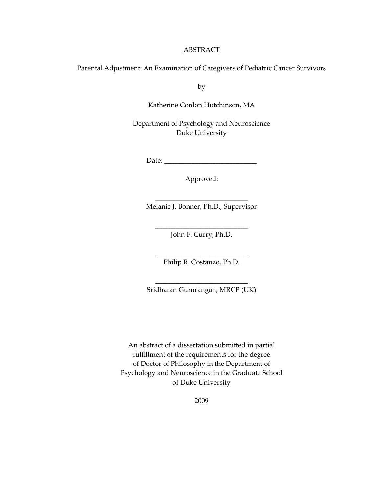#### **ABSTRACT**

Parental Adjustment: An Examination of Caregivers of Pediatric Cancer Survivors

by

Katherine Conlon Hutchinson, MA

Department of Psychology and Neuroscience Duke University

Date: \_\_\_\_\_\_\_\_\_\_\_\_\_\_\_\_\_\_\_\_\_\_\_\_\_\_\_

Approved:

\_\_\_\_\_\_\_\_\_\_\_\_\_\_\_\_\_\_\_\_\_\_\_\_\_\_\_ Melanie J. Bonner, Ph.D., Supervisor

\_\_\_\_\_\_\_\_\_\_\_\_\_\_\_\_\_\_\_\_\_\_\_\_\_\_\_ John F. Curry, Ph.D.

\_\_\_\_\_\_\_\_\_\_\_\_\_\_\_\_\_\_\_\_\_\_\_\_\_\_\_ Philip R. Costanzo, Ph.D.

\_\_\_\_\_\_\_\_\_\_\_\_\_\_\_\_\_\_\_\_\_\_\_\_\_\_\_ Sridharan Gururangan, MRCP (UK)

An abstract of a dissertation submitted in partial fulfillment of the requirements for the degree of Doctor of Philosophy in the Department of Psychology and Neuroscience in the Graduate School of Duke University

2009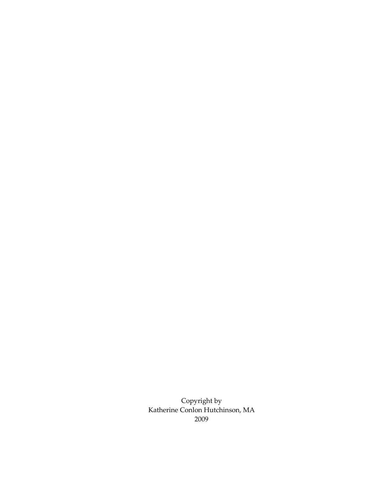Copyright by Katherine Conlon Hutchinson, MA 2009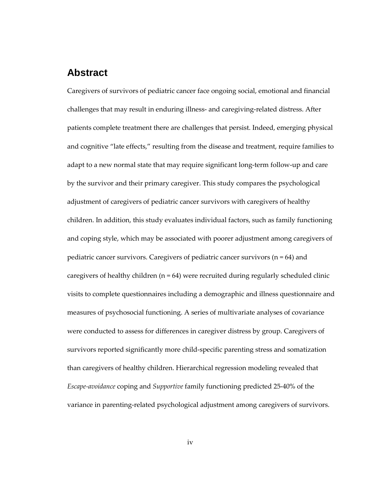## **Abstract**

Caregivers of survivors of pediatric cancer face ongoing social, emotional and financial challenges that may result in enduring illness- and caregiving-related distress. After patients complete treatment there are challenges that persist. Indeed, emerging physical and cognitive "late effects," resulting from the disease and treatment, require families to adapt to a new normal state that may require significant long-term follow-up and care by the survivor and their primary caregiver. This study compares the psychological adjustment of caregivers of pediatric cancer survivors with caregivers of healthy children. In addition, this study evaluates individual factors, such as family functioning and coping style, which may be associated with poorer adjustment among caregivers of pediatric cancer survivors. Caregivers of pediatric cancer survivors  $(n = 64)$  and caregivers of healthy children  $(n = 64)$  were recruited during regularly scheduled clinic visits to complete questionnaires including a demographic and illness questionnaire and measures of psychosocial functioning. A series of multivariate analyses of covariance were conducted to assess for differences in caregiver distress by group. Caregivers of survivors reported significantly more child-specific parenting stress and somatization than caregivers of healthy children. Hierarchical regression modeling revealed that Escape-avoidance coping and Supportive family functioning predicted 25-40% of the variance in parenting-related psychological adjustment among caregivers of survivors.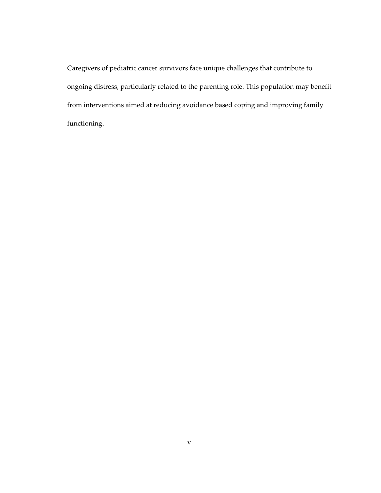Caregivers of pediatric cancer survivors face unique challenges that contribute to ongoing distress, particularly related to the parenting role. This population may benefit from interventions aimed at reducing avoidance based coping and improving family functioning.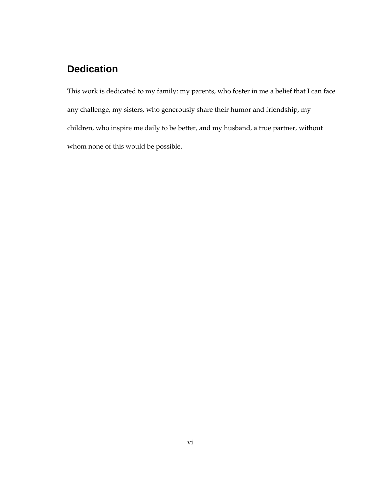# **Dedication**

This work is dedicated to my family: my parents, who foster in me a belief that I can face any challenge, my sisters, who generously share their humor and friendship, my children, who inspire me daily to be better, and my husband, a true partner, without whom none of this would be possible.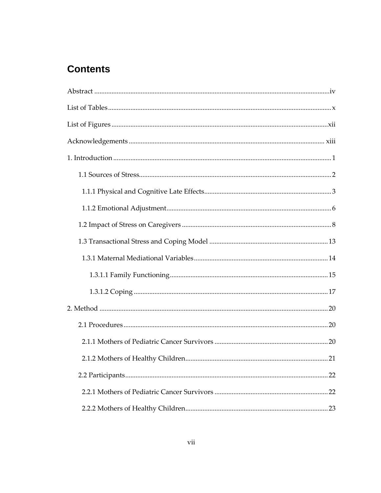# **Contents**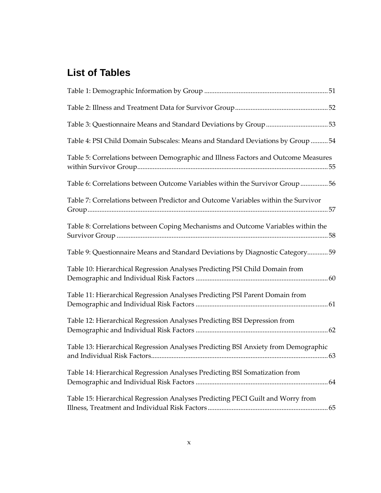# **List of Tables**

| Table 4: PSI Child Domain Subscales: Means and Standard Deviations by Group 54     |  |
|------------------------------------------------------------------------------------|--|
| Table 5: Correlations between Demographic and Illness Factors and Outcome Measures |  |
| Table 6: Correlations between Outcome Variables within the Survivor Group56        |  |
| Table 7: Correlations between Predictor and Outcome Variables within the Survivor  |  |
| Table 8: Correlations between Coping Mechanisms and Outcome Variables within the   |  |
| Table 9: Questionnaire Means and Standard Deviations by Diagnostic Category59      |  |
| Table 10: Hierarchical Regression Analyses Predicting PSI Child Domain from        |  |
| Table 11: Hierarchical Regression Analyses Predicting PSI Parent Domain from       |  |
| Table 12: Hierarchical Regression Analyses Predicting BSI Depression from          |  |
| Table 13: Hierarchical Regression Analyses Predicting BSI Anxiety from Demographic |  |
| Table 14: Hierarchical Regression Analyses Predicting BSI Somatization from        |  |
| Table 15: Hierarchical Regression Analyses Predicting PECI Guilt and Worry from    |  |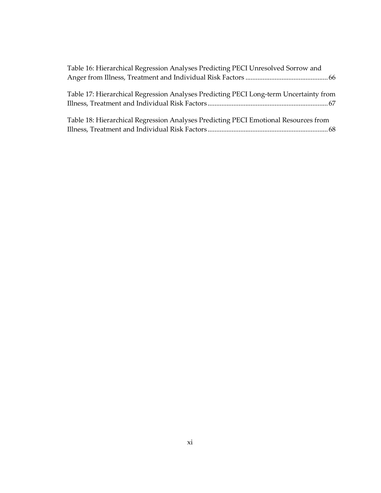| Table 16: Hierarchical Regression Analyses Predicting PECI Unresolved Sorrow and      |  |
|---------------------------------------------------------------------------------------|--|
|                                                                                       |  |
|                                                                                       |  |
| Table 17: Hierarchical Regression Analyses Predicting PECI Long-term Uncertainty from |  |
|                                                                                       |  |
|                                                                                       |  |
| Table 18: Hierarchical Regression Analyses Predicting PECI Emotional Resources from   |  |
|                                                                                       |  |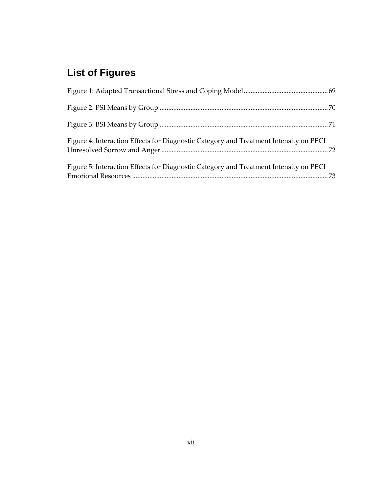# **List of Figures**

| Figure 4: Interaction Effects for Diagnostic Category and Treatment Intensity on PECI |  |
|---------------------------------------------------------------------------------------|--|
| Figure 5: Interaction Effects for Diagnostic Category and Treatment Intensity on PECI |  |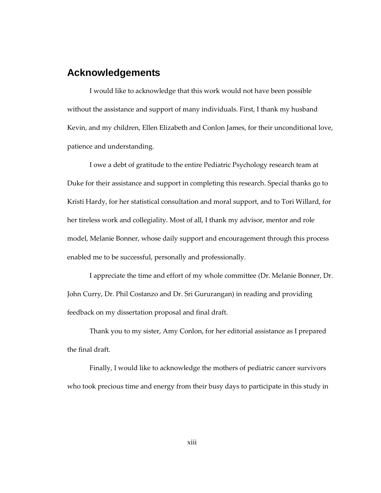## **Acknowledgements**

I would like to acknowledge that this work would not have been possible without the assistance and support of many individuals. First, I thank my husband Kevin, and my children, Ellen Elizabeth and Conlon James, for their unconditional love, patience and understanding.

I owe a debt of gratitude to the entire Pediatric Psychology research team at Duke for their assistance and support in completing this research. Special thanks go to Kristi Hardy, for her statistical consultation and moral support, and to Tori Willard, for her tireless work and collegiality. Most of all, I thank my advisor, mentor and role model, Melanie Bonner, whose daily support and encouragement through this process enabled me to be successful, personally and professionally.

I appreciate the time and effort of my whole committee (Dr. Melanie Bonner, Dr. John Curry, Dr. Phil Costanzo and Dr. Sri Gururangan) in reading and providing feedback on my dissertation proposal and final draft.

Thank you to my sister, Amy Conlon, for her editorial assistance as I prepared the final draft.

Finally, I would like to acknowledge the mothers of pediatric cancer survivors who took precious time and energy from their busy days to participate in this study in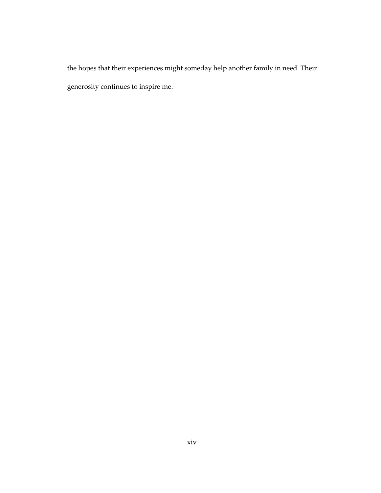the hopes that their experiences might someday help another family in need. Their generosity continues to inspire me.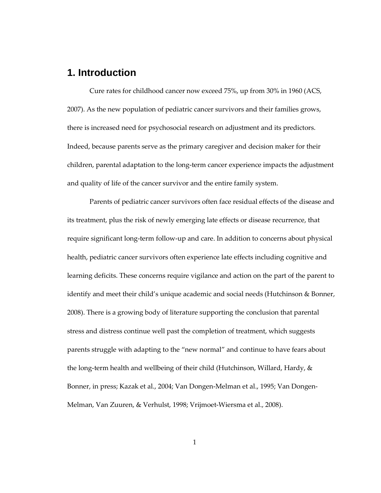## **1. Introduction**

Cure rates for childhood cancer now exceed 75%, up from 30% in 1960 (ACS, 2007). As the new population of pediatric cancer survivors and their families grows, there is increased need for psychosocial research on adjustment and its predictors. Indeed, because parents serve as the primary caregiver and decision maker for their children, parental adaptation to the long-term cancer experience impacts the adjustment and quality of life of the cancer survivor and the entire family system.

Parents of pediatric cancer survivors often face residual effects of the disease and its treatment, plus the risk of newly emerging late effects or disease recurrence, that require significant long-term follow-up and care. In addition to concerns about physical health, pediatric cancer survivors often experience late effects including cognitive and learning deficits. These concerns require vigilance and action on the part of the parent to identify and meet their child's unique academic and social needs (Hutchinson & Bonner, 2008). There is a growing body of literature supporting the conclusion that parental stress and distress continue well past the completion of treatment, which suggests parents struggle with adapting to the "new normal" and continue to have fears about the long-term health and wellbeing of their child (Hutchinson, Willard, Hardy, & Bonner, in press; Kazak et al., 2004; Van Dongen-Melman et al., 1995; Van Dongen-Melman, Van Zuuren, & Verhulst, 1998; Vrijmoet-Wiersma et al., 2008).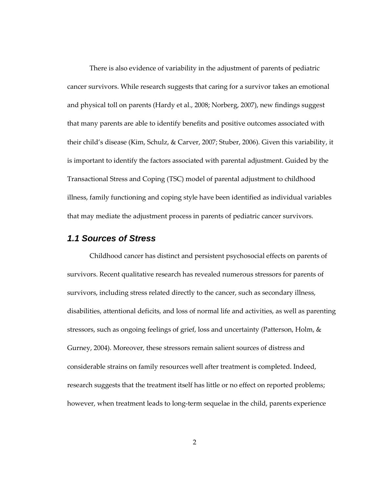There is also evidence of variability in the adjustment of parents of pediatric cancer survivors. While research suggests that caring for a survivor takes an emotional and physical toll on parents (Hardy et al., 2008; Norberg, 2007), new findings suggest that many parents are able to identify benefits and positive outcomes associated with their child's disease (Kim, Schulz, & Carver, 2007; Stuber, 2006). Given this variability, it is important to identify the factors associated with parental adjustment. Guided by the Transactional Stress and Coping (TSC) model of parental adjustment to childhood illness, family functioning and coping style have been identified as individual variables that may mediate the adjustment process in parents of pediatric cancer survivors.

## **1.1 Sources of Stress**

Childhood cancer has distinct and persistent psychosocial effects on parents of survivors. Recent qualitative research has revealed numerous stressors for parents of survivors, including stress related directly to the cancer, such as secondary illness, disabilities, attentional deficits, and loss of normal life and activities, as well as parenting stressors, such as ongoing feelings of grief, loss and uncertainty (Patterson, Holm, & Gurney, 2004). Moreover, these stressors remain salient sources of distress and considerable strains on family resources well after treatment is completed. Indeed, research suggests that the treatment itself has little or no effect on reported problems; however, when treatment leads to long-term sequelae in the child, parents experience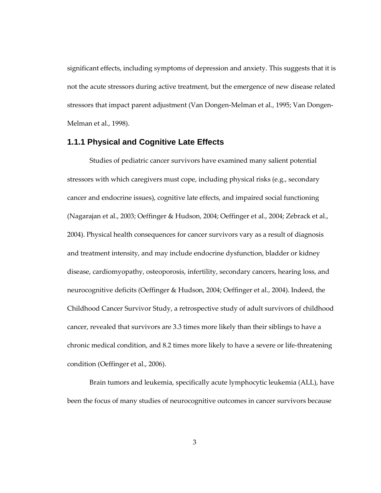significant effects, including symptoms of depression and anxiety. This suggests that it is not the acute stressors during active treatment, but the emergence of new disease related stressors that impact parent adjustment (Van Dongen-Melman et al., 1995; Van Dongen-Melman et al., 1998).

### **1.1.1 Physical and Cognitive Late Effects**

Studies of pediatric cancer survivors have examined many salient potential stressors with which caregivers must cope, including physical risks (e.g., secondary cancer and endocrine issues), cognitive late effects, and impaired social functioning (Nagarajan et al., 2003; Oeffinger & Hudson, 2004; Oeffinger et al., 2004; Zebrack et al., 2004). Physical health consequences for cancer survivors vary as a result of diagnosis and treatment intensity, and may include endocrine dysfunction, bladder or kidney disease, cardiomyopathy, osteoporosis, infertility, secondary cancers, hearing loss, and neurocognitive deficits (Oeffinger & Hudson, 2004; Oeffinger et al., 2004). Indeed, the Childhood Cancer Survivor Study, a retrospective study of adult survivors of childhood cancer, revealed that survivors are 3.3 times more likely than their siblings to have a chronic medical condition, and 8.2 times more likely to have a severe or life-threatening condition (Oeffinger et al., 2006).

Brain tumors and leukemia, specifically acute lymphocytic leukemia (ALL), have been the focus of many studies of neurocognitive outcomes in cancer survivors because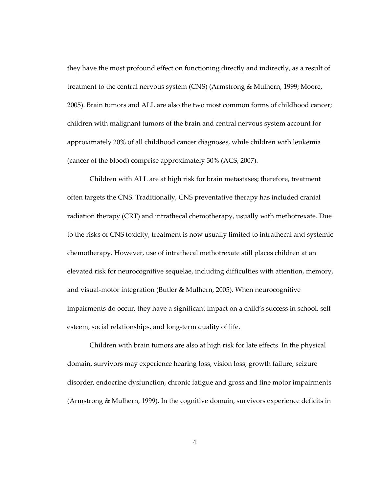they have the most profound effect on functioning directly and indirectly, as a result of treatment to the central nervous system (CNS) (Armstrong & Mulhern, 1999; Moore, 2005). Brain tumors and ALL are also the two most common forms of childhood cancer; children with malignant tumors of the brain and central nervous system account for approximately 20% of all childhood cancer diagnoses, while children with leukemia (cancer of the blood) comprise approximately 30% (ACS, 2007).

Children with ALL are at high risk for brain metastases; therefore, treatment often targets the CNS. Traditionally, CNS preventative therapy has included cranial radiation therapy (CRT) and intrathecal chemotherapy, usually with methotrexate. Due to the risks of CNS toxicity, treatment is now usually limited to intrathecal and systemic chemotherapy. However, use of intrathecal methotrexate still places children at an elevated risk for neurocognitive sequelae, including difficulties with attention, memory, and visual-motor integration (Butler & Mulhern, 2005). When neurocognitive impairments do occur, they have a significant impact on a child's success in school, self esteem, social relationships, and long-term quality of life.

Children with brain tumors are also at high risk for late effects. In the physical domain, survivors may experience hearing loss, vision loss, growth failure, seizure disorder, endocrine dysfunction, chronic fatigue and gross and fine motor impairments (Armstrong & Mulhern, 1999). In the cognitive domain, survivors experience deficits in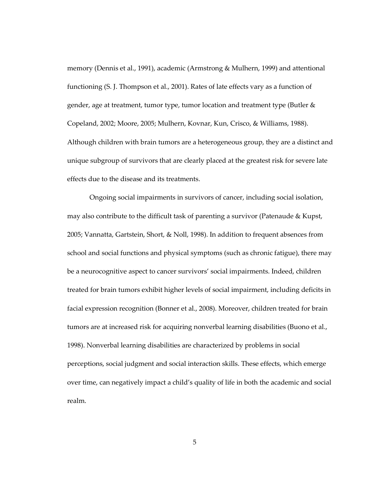memory (Dennis et al., 1991), academic (Armstrong & Mulhern, 1999) and attentional functioning (S. J. Thompson et al., 2001). Rates of late effects vary as a function of gender, age at treatment, tumor type, tumor location and treatment type (Butler & Copeland, 2002; Moore, 2005; Mulhern, Kovnar, Kun, Crisco, & Williams, 1988). Although children with brain tumors are a heterogeneous group, they are a distinct and unique subgroup of survivors that are clearly placed at the greatest risk for severe late effects due to the disease and its treatments.

Ongoing social impairments in survivors of cancer, including social isolation, may also contribute to the difficult task of parenting a survivor (Patenaude & Kupst, 2005; Vannatta, Gartstein, Short, & Noll, 1998). In addition to frequent absences from school and social functions and physical symptoms (such as chronic fatigue), there may be a neurocognitive aspect to cancer survivors' social impairments. Indeed, children treated for brain tumors exhibit higher levels of social impairment, including deficits in facial expression recognition (Bonner et al., 2008). Moreover, children treated for brain tumors are at increased risk for acquiring nonverbal learning disabilities (Buono et al., 1998). Nonverbal learning disabilities are characterized by problems in social perceptions, social judgment and social interaction skills. These effects, which emerge over time, can negatively impact a child's quality of life in both the academic and social realm.

5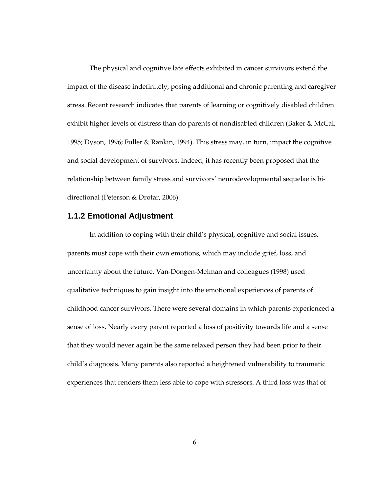The physical and cognitive late effects exhibited in cancer survivors extend the impact of the disease indefinitely, posing additional and chronic parenting and caregiver stress. Recent research indicates that parents of learning or cognitively disabled children exhibit higher levels of distress than do parents of nondisabled children (Baker & McCal, 1995; Dyson, 1996; Fuller & Rankin, 1994). This stress may, in turn, impact the cognitive and social development of survivors. Indeed, it has recently been proposed that the relationship between family stress and survivors' neurodevelopmental sequelae is bidirectional (Peterson & Drotar, 2006).

## **1.1.2 Emotional Adjustment**

In addition to coping with their child's physical, cognitive and social issues, parents must cope with their own emotions, which may include grief, loss, and uncertainty about the future. Van-Dongen-Melman and colleagues (1998) used qualitative techniques to gain insight into the emotional experiences of parents of childhood cancer survivors. There were several domains in which parents experienced a sense of loss. Nearly every parent reported a loss of positivity towards life and a sense that they would never again be the same relaxed person they had been prior to their child's diagnosis. Many parents also reported a heightened vulnerability to traumatic experiences that renders them less able to cope with stressors. A third loss was that of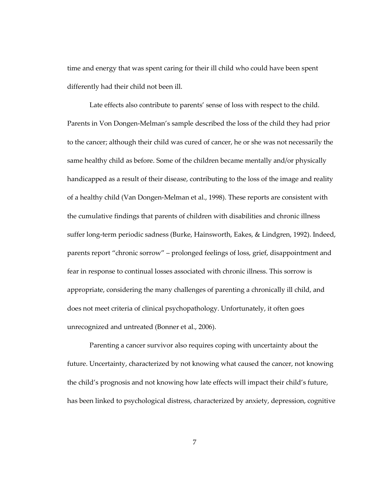time and energy that was spent caring for their ill child who could have been spent differently had their child not been ill.

Late effects also contribute to parents' sense of loss with respect to the child. Parents in Von Dongen-Melman's sample described the loss of the child they had prior to the cancer; although their child was cured of cancer, he or she was not necessarily the same healthy child as before. Some of the children became mentally and/or physically handicapped as a result of their disease, contributing to the loss of the image and reality of a healthy child (Van Dongen-Melman et al., 1998). These reports are consistent with the cumulative findings that parents of children with disabilities and chronic illness suffer long-term periodic sadness (Burke, Hainsworth, Eakes, & Lindgren, 1992). Indeed, parents report "chronic sorrow" – prolonged feelings of loss, grief, disappointment and fear in response to continual losses associated with chronic illness. This sorrow is appropriate, considering the many challenges of parenting a chronically ill child, and does not meet criteria of clinical psychopathology. Unfortunately, it often goes unrecognized and untreated (Bonner et al., 2006).

Parenting a cancer survivor also requires coping with uncertainty about the future. Uncertainty, characterized by not knowing what caused the cancer, not knowing the child's prognosis and not knowing how late effects will impact their child's future, has been linked to psychological distress, characterized by anxiety, depression, cognitive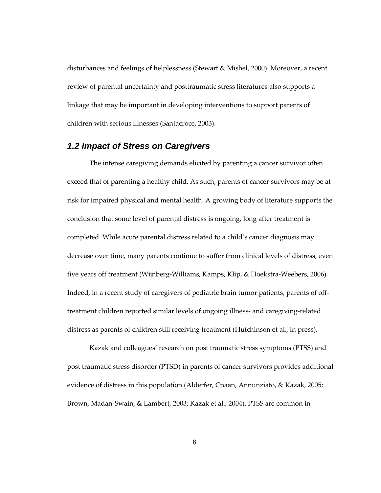disturbances and feelings of helplessness (Stewart & Mishel, 2000). Moreover, a recent review of parental uncertainty and posttraumatic stress literatures also supports a linkage that may be important in developing interventions to support parents of children with serious illnesses (Santacroce, 2003).

## **1.2 Impact of Stress on Caregivers**

The intense caregiving demands elicited by parenting a cancer survivor often exceed that of parenting a healthy child. As such, parents of cancer survivors may be at risk for impaired physical and mental health. A growing body of literature supports the conclusion that some level of parental distress is ongoing, long after treatment is completed. While acute parental distress related to a child's cancer diagnosis may decrease over time, many parents continue to suffer from clinical levels of distress, even five years off treatment (Wijnberg-Williams, Kamps, Klip, & Hoekstra-Weebers, 2006). Indeed, in a recent study of caregivers of pediatric brain tumor patients, parents of offtreatment children reported similar levels of ongoing illness- and caregiving-related distress as parents of children still receiving treatment (Hutchinson et al., in press).

Kazak and colleagues' research on post traumatic stress symptoms (PTSS) and post traumatic stress disorder (PTSD) in parents of cancer survivors provides additional evidence of distress in this population (Alderfer, Cnaan, Annunziato, & Kazak, 2005; Brown, Madan-Swain, & Lambert, 2003; Kazak et al., 2004). PTSS are common in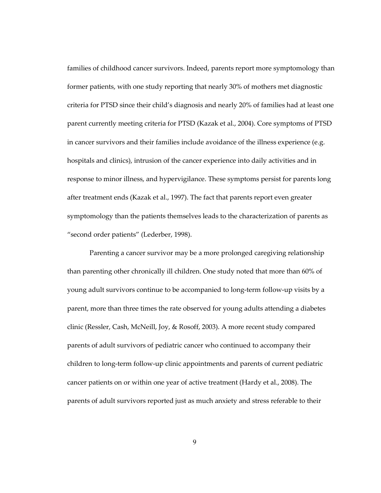families of childhood cancer survivors. Indeed, parents report more symptomology than former patients, with one study reporting that nearly 30% of mothers met diagnostic criteria for PTSD since their child's diagnosis and nearly 20% of families had at least one parent currently meeting criteria for PTSD (Kazak et al., 2004). Core symptoms of PTSD in cancer survivors and their families include avoidance of the illness experience (e.g. hospitals and clinics), intrusion of the cancer experience into daily activities and in response to minor illness, and hypervigilance. These symptoms persist for parents long after treatment ends (Kazak et al., 1997). The fact that parents report even greater symptomology than the patients themselves leads to the characterization of parents as "second order patients" (Lederber, 1998).

Parenting a cancer survivor may be a more prolonged caregiving relationship than parenting other chronically ill children. One study noted that more than 60% of young adult survivors continue to be accompanied to long-term follow-up visits by a parent, more than three times the rate observed for young adults attending a diabetes clinic (Ressler, Cash, McNeill, Joy, & Rosoff, 2003). A more recent study compared parents of adult survivors of pediatric cancer who continued to accompany their children to long-term follow-up clinic appointments and parents of current pediatric cancer patients on or within one year of active treatment (Hardy et al., 2008). The parents of adult survivors reported just as much anxiety and stress referable to their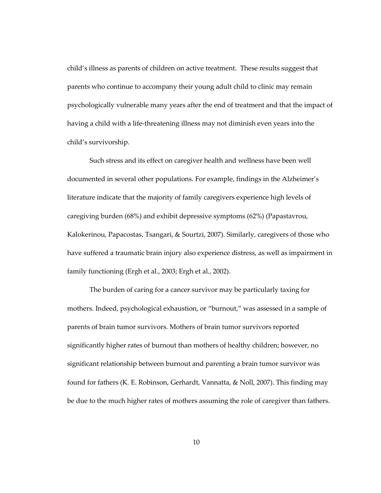child's illness as parents of children on active treatment. These results suggest that parents who continue to accompany their young adult child to clinic may remain psychologically vulnerable many years after the end of treatment and that the impact of having a child with a life-threatening illness may not diminish even years into the child's survivorship.

Such stress and its effect on caregiver health and wellness have been well documented in several other populations. For example, findings in the Alzheimer's literature indicate that the majority of family caregivers experience high levels of caregiving burden (68%) and exhibit depressive symptoms (62%) (Papastavrou, Kalokerinou, Papacostas, Tsangari, & Sourtzi, 2007). Similarly, caregivers of those who have suffered a traumatic brain injury also experience distress, as well as impairment in family functioning (Ergh et al., 2003; Ergh et al., 2002).

The burden of caring for a cancer survivor may be particularly taxing for mothers. Indeed, psychological exhaustion, or "burnout," was assessed in a sample of parents of brain tumor survivors. Mothers of brain tumor survivors reported significantly higher rates of burnout than mothers of healthy children; however, no significant relationship between burnout and parenting a brain tumor survivor was found for fathers (K. E. Robinson, Gerhardt, Vannatta, & Noll, 2007). This finding may be due to the much higher rates of mothers assuming the role of caregiver than fathers.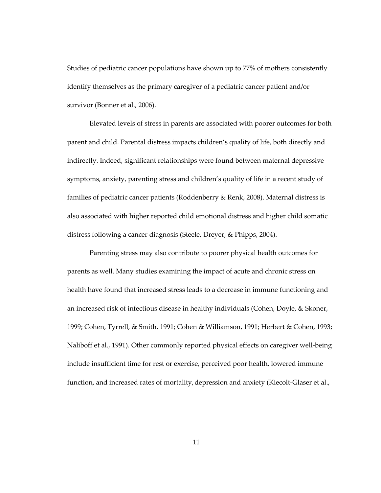Studies of pediatric cancer populations have shown up to 77% of mothers consistently identify themselves as the primary caregiver of a pediatric cancer patient and/or survivor (Bonner et al., 2006).

Elevated levels of stress in parents are associated with poorer outcomes for both parent and child. Parental distress impacts children's quality of life, both directly and indirectly. Indeed, significant relationships were found between maternal depressive symptoms, anxiety, parenting stress and children's quality of life in a recent study of families of pediatric cancer patients (Roddenberry & Renk, 2008). Maternal distress is also associated with higher reported child emotional distress and higher child somatic distress following a cancer diagnosis (Steele, Dreyer, & Phipps, 2004).

Parenting stress may also contribute to poorer physical health outcomes for parents as well. Many studies examining the impact of acute and chronic stress on health have found that increased stress leads to a decrease in immune functioning and an increased risk of infectious disease in healthy individuals (Cohen, Doyle, & Skoner, 1999; Cohen, Tyrrell, & Smith, 1991; Cohen & Williamson, 1991; Herbert & Cohen, 1993; Naliboff et al., 1991). Other commonly reported physical effects on caregiver well-being include insufficient time for rest or exercise, perceived poor health, lowered immune function, and increased rates of mortality, depression and anxiety (Kiecolt-Glaser et al.,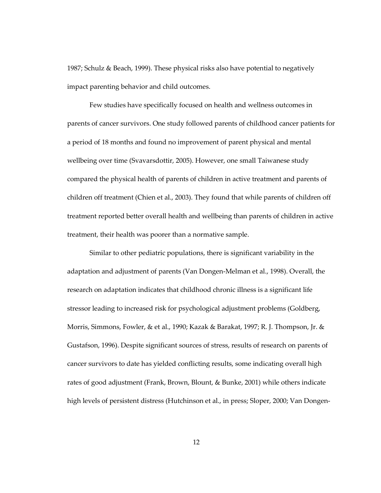1987; Schulz & Beach, 1999). These physical risks also have potential to negatively impact parenting behavior and child outcomes.

Few studies have specifically focused on health and wellness outcomes in parents of cancer survivors. One study followed parents of childhood cancer patients for a period of 18 months and found no improvement of parent physical and mental wellbeing over time (Svavarsdottir, 2005). However, one small Taiwanese study compared the physical health of parents of children in active treatment and parents of children off treatment (Chien et al., 2003). They found that while parents of children off treatment reported better overall health and wellbeing than parents of children in active treatment, their health was poorer than a normative sample.

Similar to other pediatric populations, there is significant variability in the adaptation and adjustment of parents (Van Dongen-Melman et al., 1998). Overall, the research on adaptation indicates that childhood chronic illness is a significant life stressor leading to increased risk for psychological adjustment problems (Goldberg, Morris, Simmons, Fowler, & et al., 1990; Kazak & Barakat, 1997; R. J. Thompson, Jr. & Gustafson, 1996). Despite significant sources of stress, results of research on parents of cancer survivors to date has yielded conflicting results, some indicating overall high rates of good adjustment (Frank, Brown, Blount, & Bunke, 2001) while others indicate high levels of persistent distress (Hutchinson et al., in press; Sloper, 2000; Van Dongen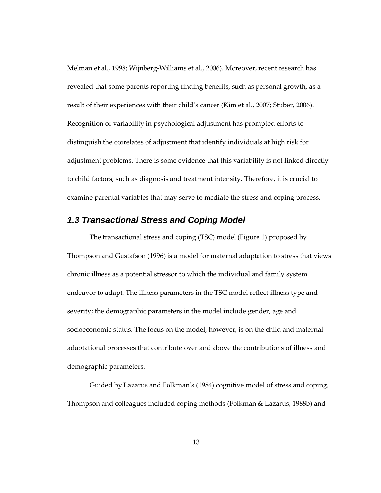Melman et al., 1998; Wijnberg-Williams et al., 2006). Moreover, recent research has revealed that some parents reporting finding benefits, such as personal growth, as a result of their experiences with their child's cancer (Kim et al., 2007; Stuber, 2006). Recognition of variability in psychological adjustment has prompted efforts to distinguish the correlates of adjustment that identify individuals at high risk for adjustment problems. There is some evidence that this variability is not linked directly to child factors, such as diagnosis and treatment intensity. Therefore, it is crucial to examine parental variables that may serve to mediate the stress and coping process.

## **1.3 Transactional Stress and Coping Model**

The transactional stress and coping (TSC) model (Figure 1) proposed by Thompson and Gustafson (1996) is a model for maternal adaptation to stress that views chronic illness as a potential stressor to which the individual and family system endeavor to adapt. The illness parameters in the TSC model reflect illness type and severity; the demographic parameters in the model include gender, age and socioeconomic status. The focus on the model, however, is on the child and maternal adaptational processes that contribute over and above the contributions of illness and demographic parameters.

Guided by Lazarus and Folkman's (1984) cognitive model of stress and coping, Thompson and colleagues included coping methods (Folkman & Lazarus, 1988b) and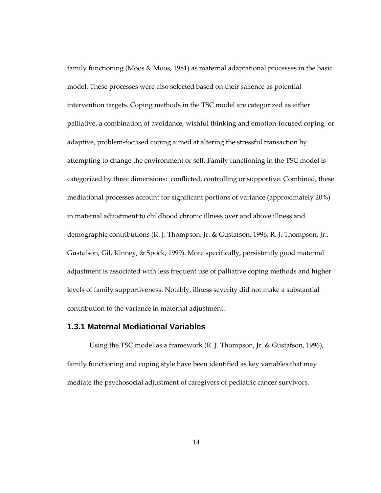family functioning (Moos & Moos, 1981) as maternal adaptational processes in the basic model. These processes were also selected based on their salience as potential intervention targets. Coping methods in the TSC model are categorized as either palliative, a combination of avoidance, wishful thinking and emotion-focused coping, or adaptive, problem-focused coping aimed at altering the stressful transaction by attempting to change the environment or self. Family functioning in the TSC model is categorized by three dimensions: conflicted, controlling or supportive. Combined, these mediational processes account for significant portions of variance (approximately 20%) in maternal adjustment to childhood chronic illness over and above illness and demographic contributions (R. J. Thompson, Jr. & Gustafson, 1996; R. J. Thompson, Jr., Gustafson, Gil, Kinney, & Spock, 1999). More specifically, persistently good maternal adjustment is associated with less frequent use of palliative coping methods and higher levels of family supportiveness. Notably, illness severity did not make a substantial contribution to the variance in maternal adjustment.

#### **1.3.1 Maternal Mediational Variables**

Using the TSC model as a framework (R. J. Thompson, Jr. & Gustafson, 1996), family functioning and coping style have been identified as key variables that may mediate the psychosocial adjustment of caregivers of pediatric cancer survivors.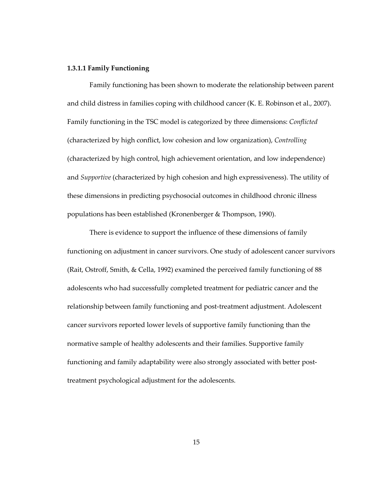### 1.3.1.1 Family Functioning

Family functioning has been shown to moderate the relationship between parent and child distress in families coping with childhood cancer (K. E. Robinson et al., 2007). Family functioning in the TSC model is categorized by three dimensions: Conflicted (characterized by high conflict, low cohesion and low organization), Controlling (characterized by high control, high achievement orientation, and low independence) and *Supportive* (characterized by high cohesion and high expressiveness). The utility of these dimensions in predicting psychosocial outcomes in childhood chronic illness populations has been established (Kronenberger & Thompson, 1990).

There is evidence to support the influence of these dimensions of family functioning on adjustment in cancer survivors. One study of adolescent cancer survivors (Rait, Ostroff, Smith, & Cella, 1992) examined the perceived family functioning of 88 adolescents who had successfully completed treatment for pediatric cancer and the relationship between family functioning and post-treatment adjustment. Adolescent cancer survivors reported lower levels of supportive family functioning than the normative sample of healthy adolescents and their families. Supportive family functioning and family adaptability were also strongly associated with better posttreatment psychological adjustment for the adolescents.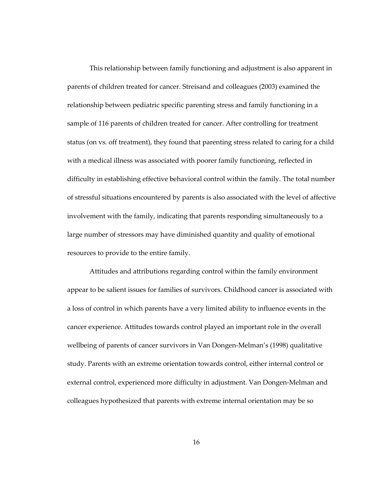This relationship between family functioning and adjustment is also apparent in parents of children treated for cancer. Streisand and colleagues (2003) examined the relationship between pediatric specific parenting stress and family functioning in a sample of 116 parents of children treated for cancer. After controlling for treatment status (on vs. off treatment), they found that parenting stress related to caring for a child with a medical illness was associated with poorer family functioning, reflected in difficulty in establishing effective behavioral control within the family. The total number of stressful situations encountered by parents is also associated with the level of affective involvement with the family, indicating that parents responding simultaneously to a large number of stressors may have diminished quantity and quality of emotional resources to provide to the entire family.

Attitudes and attributions regarding control within the family environment appear to be salient issues for families of survivors. Childhood cancer is associated with a loss of control in which parents have a very limited ability to influence events in the cancer experience. Attitudes towards control played an important role in the overall wellbeing of parents of cancer survivors in Van Dongen-Melman's (1998) qualitative study. Parents with an extreme orientation towards control, either internal control or external control, experienced more difficulty in adjustment. Van Dongen-Melman and colleagues hypothesized that parents with extreme internal orientation may be so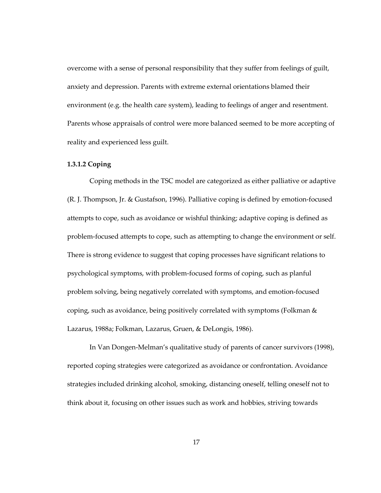overcome with a sense of personal responsibility that they suffer from feelings of guilt, anxiety and depression. Parents with extreme external orientations blamed their environment (e.g. the health care system), leading to feelings of anger and resentment. Parents whose appraisals of control were more balanced seemed to be more accepting of reality and experienced less guilt.

## 1.3.1.2 Coping

Coping methods in the TSC model are categorized as either palliative or adaptive (R. J. Thompson, Jr. & Gustafson, 1996). Palliative coping is defined by emotion-focused attempts to cope, such as avoidance or wishful thinking; adaptive coping is defined as problem-focused attempts to cope, such as attempting to change the environment or self. There is strong evidence to suggest that coping processes have significant relations to psychological symptoms, with problem-focused forms of coping, such as planful problem solving, being negatively correlated with symptoms, and emotion-focused coping, such as avoidance, being positively correlated with symptoms (Folkman & Lazarus, 1988a; Folkman, Lazarus, Gruen, & DeLongis, 1986).

In Van Dongen-Melman's qualitative study of parents of cancer survivors (1998), reported coping strategies were categorized as avoidance or confrontation. Avoidance strategies included drinking alcohol, smoking, distancing oneself, telling oneself not to think about it, focusing on other issues such as work and hobbies, striving towards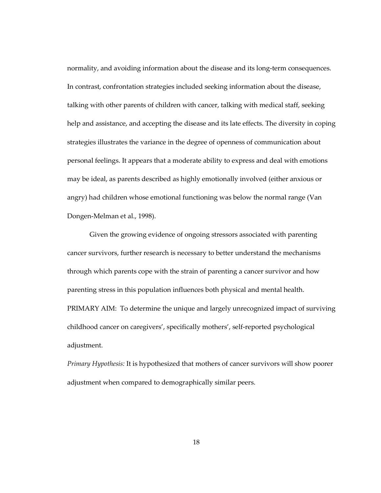normality, and avoiding information about the disease and its long-term consequences. In contrast, confrontation strategies included seeking information about the disease, talking with other parents of children with cancer, talking with medical staff, seeking help and assistance, and accepting the disease and its late effects. The diversity in coping strategies illustrates the variance in the degree of openness of communication about personal feelings. It appears that a moderate ability to express and deal with emotions may be ideal, as parents described as highly emotionally involved (either anxious or angry) had children whose emotional functioning was below the normal range (Van Dongen-Melman et al., 1998).

Given the growing evidence of ongoing stressors associated with parenting cancer survivors, further research is necessary to better understand the mechanisms through which parents cope with the strain of parenting a cancer survivor and how parenting stress in this population influences both physical and mental health. PRIMARY AIM: To determine the unique and largely unrecognized impact of surviving childhood cancer on caregivers', specifically mothers', self-reported psychological adjustment.

Primary Hypothesis: It is hypothesized that mothers of cancer survivors will show poorer adjustment when compared to demographically similar peers.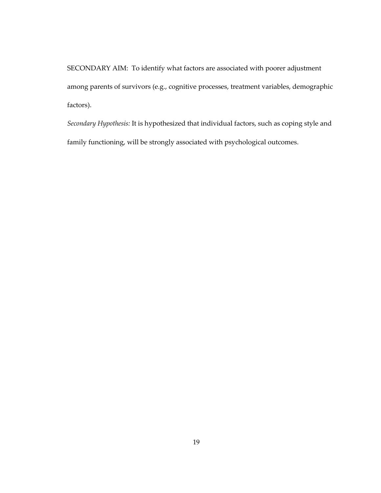SECONDARY AIM: To identify what factors are associated with poorer adjustment among parents of survivors (e.g., cognitive processes, treatment variables, demographic factors).

Secondary Hypothesis: It is hypothesized that individual factors, such as coping style and family functioning, will be strongly associated with psychological outcomes.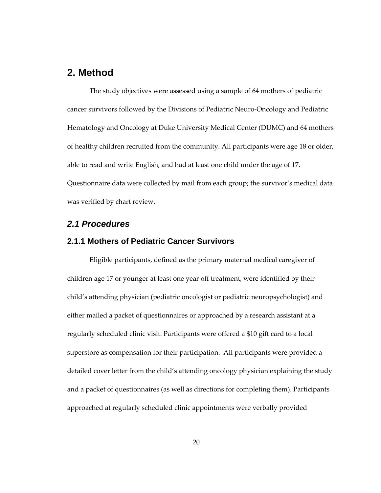## **2. Method**

The study objectives were assessed using a sample of 64 mothers of pediatric cancer survivors followed by the Divisions of Pediatric Neuro-Oncology and Pediatric Hematology and Oncology at Duke University Medical Center (DUMC) and 64 mothers of healthy children recruited from the community. All participants were age 18 or older, able to read and write English, and had at least one child under the age of 17. Questionnaire data were collected by mail from each group; the survivor's medical data was verified by chart review.

## **2.1 Procedures**

### **2.1.1 Mothers of Pediatric Cancer Survivors**

Eligible participants, defined as the primary maternal medical caregiver of children age 17 or younger at least one year off treatment, were identified by their child's attending physician (pediatric oncologist or pediatric neuropsychologist) and either mailed a packet of questionnaires or approached by a research assistant at a regularly scheduled clinic visit. Participants were offered a \$10 gift card to a local superstore as compensation for their participation. All participants were provided a detailed cover letter from the child's attending oncology physician explaining the study and a packet of questionnaires (as well as directions for completing them). Participants approached at regularly scheduled clinic appointments were verbally provided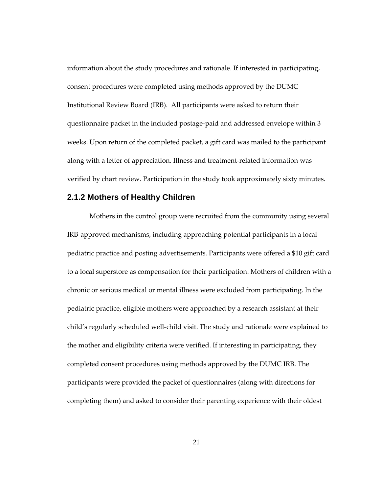information about the study procedures and rationale. If interested in participating, consent procedures were completed using methods approved by the DUMC Institutional Review Board (IRB). All participants were asked to return their questionnaire packet in the included postage-paid and addressed envelope within 3 weeks. Upon return of the completed packet, a gift card was mailed to the participant along with a letter of appreciation. Illness and treatment-related information was verified by chart review. Participation in the study took approximately sixty minutes.

#### **2.1.2 Mothers of Healthy Children**

Mothers in the control group were recruited from the community using several IRB-approved mechanisms, including approaching potential participants in a local pediatric practice and posting advertisements. Participants were offered a \$10 gift card to a local superstore as compensation for their participation. Mothers of children with a chronic or serious medical or mental illness were excluded from participating. In the pediatric practice, eligible mothers were approached by a research assistant at their child's regularly scheduled well-child visit. The study and rationale were explained to the mother and eligibility criteria were verified. If interesting in participating, they completed consent procedures using methods approved by the DUMC IRB. The participants were provided the packet of questionnaires (along with directions for completing them) and asked to consider their parenting experience with their oldest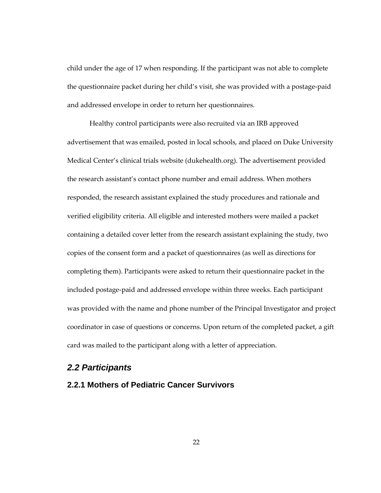child under the age of 17 when responding. If the participant was not able to complete the questionnaire packet during her child's visit, she was provided with a postage-paid and addressed envelope in order to return her questionnaires.

Healthy control participants were also recruited via an IRB approved advertisement that was emailed, posted in local schools, and placed on Duke University Medical Center's clinical trials website (dukehealth.org). The advertisement provided the research assistant's contact phone number and email address. When mothers responded, the research assistant explained the study procedures and rationale and verified eligibility criteria. All eligible and interested mothers were mailed a packet containing a detailed cover letter from the research assistant explaining the study, two copies of the consent form and a packet of questionnaires (as well as directions for completing them). Participants were asked to return their questionnaire packet in the included postage-paid and addressed envelope within three weeks. Each participant was provided with the name and phone number of the Principal Investigator and project coordinator in case of questions or concerns. Upon return of the completed packet, a gift card was mailed to the participant along with a letter of appreciation.

#### **2.2 Participants**

### **2.2.1 Mothers of Pediatric Cancer Survivors**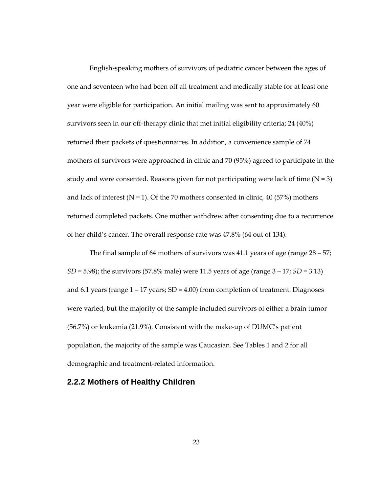English-speaking mothers of survivors of pediatric cancer between the ages of one and seventeen who had been off all treatment and medically stable for at least one year were eligible for participation. An initial mailing was sent to approximately 60 survivors seen in our off-therapy clinic that met initial eligibility criteria; 24 (40%) returned their packets of questionnaires. In addition, a convenience sample of 74 mothers of survivors were approached in clinic and 70 (95%) agreed to participate in the study and were consented. Reasons given for not participating were lack of time  $(N = 3)$ and lack of interest ( $N = 1$ ). Of the 70 mothers consented in clinic, 40 (57%) mothers returned completed packets. One mother withdrew after consenting due to a recurrence of her child's cancer. The overall response rate was 47.8% (64 out of 134).

The final sample of 64 mothers of survivors was 41.1 years of age (range 28 – 57;  $SD = 5.98$ ); the survivors (57.8% male) were 11.5 years of age (range  $3 - 17$ ;  $SD = 3.13$ ) and 6.1 years (range  $1 - 17$  years;  $SD = 4.00$ ) from completion of treatment. Diagnoses were varied, but the majority of the sample included survivors of either a brain tumor (56.7%) or leukemia (21.9%). Consistent with the make-up of DUMC's patient population, the majority of the sample was Caucasian. See Tables 1 and 2 for all demographic and treatment-related information.

#### **2.2.2 Mothers of Healthy Children**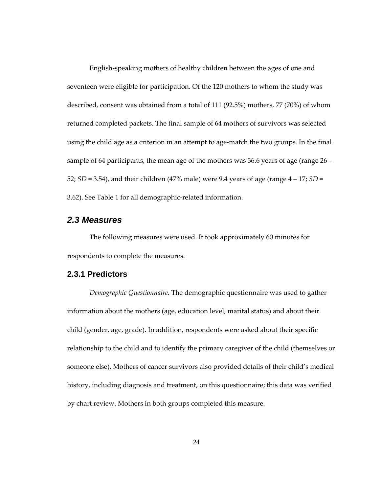English-speaking mothers of healthy children between the ages of one and seventeen were eligible for participation. Of the 120 mothers to whom the study was described, consent was obtained from a total of 111 (92.5%) mothers, 77 (70%) of whom returned completed packets. The final sample of 64 mothers of survivors was selected using the child age as a criterion in an attempt to age-match the two groups. In the final sample of 64 participants, the mean age of the mothers was 36.6 years of age (range 26 – 52;  $SD = 3.54$ ), and their children (47% male) were 9.4 years of age (range  $4 - 17$ ;  $SD =$ 3.62). See Table 1 for all demographic-related information.

## **2.3 Measures**

The following measures were used. It took approximately 60 minutes for respondents to complete the measures.

#### **2.3.1 Predictors**

Demographic Questionnaire. The demographic questionnaire was used to gather information about the mothers (age, education level, marital status) and about their child (gender, age, grade). In addition, respondents were asked about their specific relationship to the child and to identify the primary caregiver of the child (themselves or someone else). Mothers of cancer survivors also provided details of their child's medical history, including diagnosis and treatment, on this questionnaire; this data was verified by chart review. Mothers in both groups completed this measure.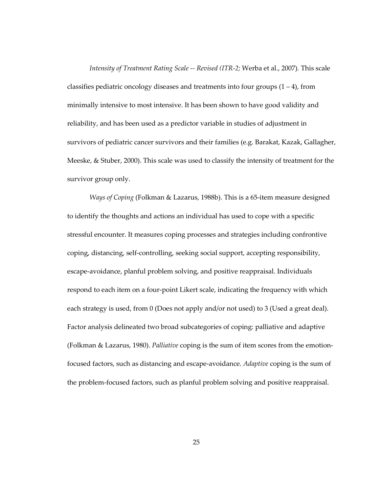Intensity of Treatment Rating Scale -- Revised (ITR-2; Werba et al., 2007). This scale classifies pediatric oncology diseases and treatments into four groups  $(1 – 4)$ , from minimally intensive to most intensive. It has been shown to have good validity and reliability, and has been used as a predictor variable in studies of adjustment in survivors of pediatric cancer survivors and their families (e.g. Barakat, Kazak, Gallagher, Meeske, & Stuber, 2000). This scale was used to classify the intensity of treatment for the survivor group only.

Ways of Coping (Folkman & Lazarus, 1988b). This is a 65-item measure designed to identify the thoughts and actions an individual has used to cope with a specific stressful encounter. It measures coping processes and strategies including confrontive coping, distancing, self-controlling, seeking social support, accepting responsibility, escape-avoidance, planful problem solving, and positive reappraisal. Individuals respond to each item on a four-point Likert scale, indicating the frequency with which each strategy is used, from 0 (Does not apply and/or not used) to 3 (Used a great deal). Factor analysis delineated two broad subcategories of coping: palliative and adaptive (Folkman & Lazarus, 1980). Palliative coping is the sum of item scores from the emotionfocused factors, such as distancing and escape-avoidance. Adaptive coping is the sum of the problem-focused factors, such as planful problem solving and positive reappraisal.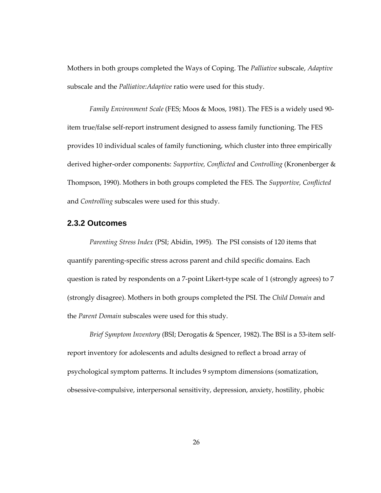Mothers in both groups completed the Ways of Coping. The Palliative subscale, Adaptive subscale and the Palliative:Adaptive ratio were used for this study.

Family Environment Scale (FES; Moos & Moos, 1981). The FES is a widely used 90 item true/false self-report instrument designed to assess family functioning. The FES provides 10 individual scales of family functioning, which cluster into three empirically derived higher-order components: Supportive, Conflicted and Controlling (Kronenberger & Thompson, 1990). Mothers in both groups completed the FES. The Supportive, Conflicted and Controlling subscales were used for this study.

#### **2.3.2 Outcomes**

Parenting Stress Index (PSI; Abidin, 1995). The PSI consists of 120 items that quantify parenting-specific stress across parent and child specific domains. Each question is rated by respondents on a 7-point Likert-type scale of 1 (strongly agrees) to 7 (strongly disagree). Mothers in both groups completed the PSI. The Child Domain and the Parent Domain subscales were used for this study.

Brief Symptom Inventory (BSI; Derogatis & Spencer, 1982).The BSI is a 53-item selfreport inventory for adolescents and adults designed to reflect a broad array of psychological symptom patterns. It includes 9 symptom dimensions (somatization, obsessive-compulsive, interpersonal sensitivity, depression, anxiety, hostility, phobic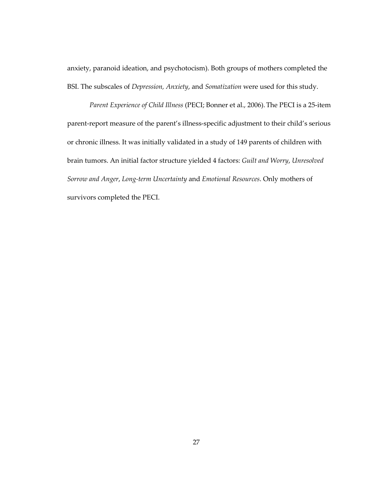anxiety, paranoid ideation, and psychotocism). Both groups of mothers completed the BSI. The subscales of Depression, Anxiety, and Somatization were used for this study.

Parent Experience of Child Illness (PECI; Bonner et al., 2006).The PECI is a 25-item parent-report measure of the parent's illness-specific adjustment to their child's serious or chronic illness. It was initially validated in a study of 149 parents of children with brain tumors. An initial factor structure yielded 4 factors: Guilt and Worry, Unresolved Sorrow and Anger, Long-term Uncertainty and Emotional Resources. Only mothers of survivors completed the PECI.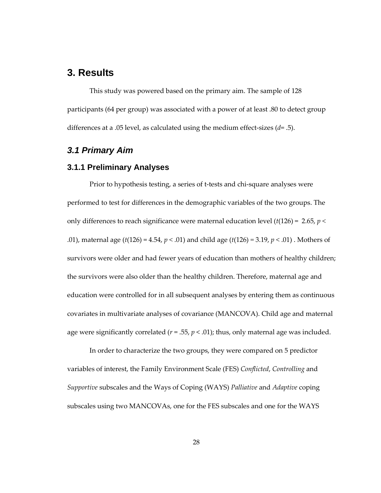# **3. Results**

This study was powered based on the primary aim. The sample of 128 participants (64 per group) was associated with a power of at least .80 to detect group differences at a .05 level, as calculated using the medium effect-sizes  $(d= .5)$ .

# **3.1 Primary Aim**

#### **3.1.1 Preliminary Analyses**

Prior to hypothesis testing, a series of t-tests and chi-square analyses were performed to test for differences in the demographic variables of the two groups. The only differences to reach significance were maternal education level ( $t(126) = 2.65$ ,  $p <$ .01), maternal age ( $t(126) = 4.54$ ,  $p < .01$ ) and child age ( $t(126) = 3.19$ ,  $p < .01$ ). Mothers of survivors were older and had fewer years of education than mothers of healthy children; the survivors were also older than the healthy children. Therefore, maternal age and education were controlled for in all subsequent analyses by entering them as continuous covariates in multivariate analyses of covariance (MANCOVA). Child age and maternal age were significantly correlated ( $r = .55$ ,  $p < .01$ ); thus, only maternal age was included.

In order to characterize the two groups, they were compared on 5 predictor variables of interest, the Family Environment Scale (FES) Conflicted, Controlling and Supportive subscales and the Ways of Coping (WAYS) Palliative and Adaptive coping subscales using two MANCOVAs, one for the FES subscales and one for the WAYS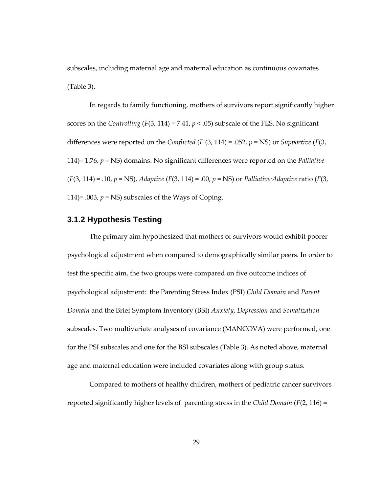subscales, including maternal age and maternal education as continuous covariates (Table 3).

In regards to family functioning, mothers of survivors report significantly higher scores on the Controlling (F(3, 114) = 7.41,  $p < .05$ ) subscale of the FES. No significant differences were reported on the *Conflicted* (*F* (3, 114) = .052,  $p = NS$ ) or *Supportive* (*F*(3, 114)= 1.76,  $p = NS$ ) domains. No significant differences were reported on the *Palliative*  $(F(3, 114) = .10, p = NS)$ , Adaptive  $(F(3, 114) = .00, p = NS)$  or Palliative: Adaptive ratio  $(F(3, 114) = .00, p = NS)$ 114)= .003,  $p = NS$ ) subscales of the Ways of Coping.

# **3.1.2 Hypothesis Testing**

The primary aim hypothesized that mothers of survivors would exhibit poorer psychological adjustment when compared to demographically similar peers. In order to test the specific aim, the two groups were compared on five outcome indices of psychological adjustment: the Parenting Stress Index (PSI) Child Domain and Parent Domain and the Brief Symptom Inventory (BSI) Anxiety, Depression and Somatization subscales. Two multivariate analyses of covariance (MANCOVA) were performed, one for the PSI subscales and one for the BSI subscales (Table 3). As noted above, maternal age and maternal education were included covariates along with group status.

Compared to mothers of healthy children, mothers of pediatric cancer survivors reported significantly higher levels of parenting stress in the Child Domain ( $F(2, 116) =$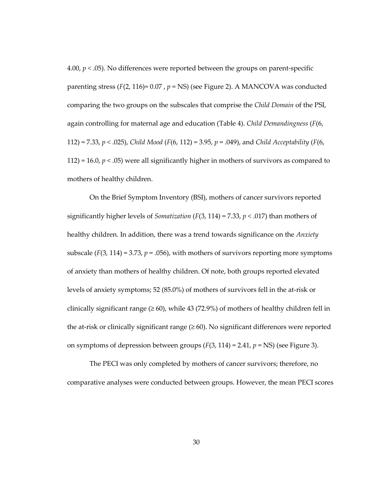4.00,  $p < .05$ ). No differences were reported between the groups on parent-specific parenting stress ( $F(2, 116) = 0.07$ ,  $p = NS$ ) (see Figure 2). A MANCOVA was conducted comparing the two groups on the subscales that comprise the Child Domain of the PSI, again controlling for maternal age and education (Table 4). Child Demandingness ( $F(6, 6)$ 112) = 7.33,  $p < .025$ ), Child Mood (F(6, 112) = 3.95,  $p = .049$ ), and Child Acceptability (F(6, 112) = 16.0,  $p < .05$ ) were all significantly higher in mothers of survivors as compared to mothers of healthy children.

On the Brief Symptom Inventory (BSI), mothers of cancer survivors reported significantly higher levels of *Somatization* ( $F(3, 114) = 7.33$ ,  $p < .017$ ) than mothers of healthy children. In addition, there was a trend towards significance on the Anxiety subscale ( $F(3, 114) = 3.73$ ,  $p = .056$ ), with mothers of survivors reporting more symptoms of anxiety than mothers of healthy children. Of note, both groups reported elevated levels of anxiety symptoms; 52 (85.0%) of mothers of survivors fell in the at-risk or clinically significant range  $(\geq 60)$ , while 43 (72.9%) of mothers of healthy children fell in the at-risk or clinically significant range  $(\geq 60)$ . No significant differences were reported on symptoms of depression between groups  $(F(3, 114) = 2.41, p = NS)$  (see Figure 3).

The PECI was only completed by mothers of cancer survivors; therefore, no comparative analyses were conducted between groups. However, the mean PECI scores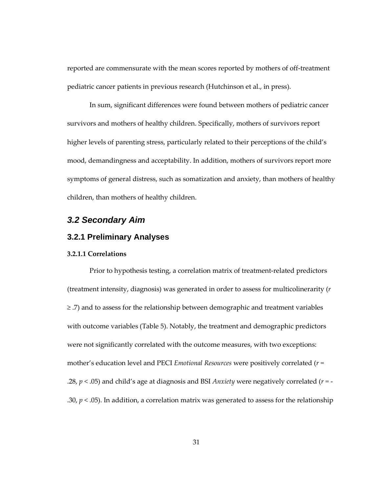reported are commensurate with the mean scores reported by mothers of off-treatment pediatric cancer patients in previous research (Hutchinson et al., in press).

In sum, significant differences were found between mothers of pediatric cancer survivors and mothers of healthy children. Specifically, mothers of survivors report higher levels of parenting stress, particularly related to their perceptions of the child's mood, demandingness and acceptability. In addition, mothers of survivors report more symptoms of general distress, such as somatization and anxiety, than mothers of healthy children, than mothers of healthy children.

# **3.2 Secondary Aim**

#### **3.2.1 Preliminary Analyses**

#### 3.2.1.1 Correlations

Prior to hypothesis testing, a correlation matrix of treatment-related predictors (treatment intensity, diagnosis) was generated in order to assess for multicolinerarity (r ≥ .7) and to assess for the relationship between demographic and treatment variables with outcome variables (Table 5). Notably, the treatment and demographic predictors were not significantly correlated with the outcome measures, with two exceptions: mother's education level and PECI *Emotional Resources* were positively correlated  $(r =$ .28,  $p < .05$ ) and child's age at diagnosis and BSI *Anxiety* were negatively correlated ( $r = -$ .30,  $p < .05$ ). In addition, a correlation matrix was generated to assess for the relationship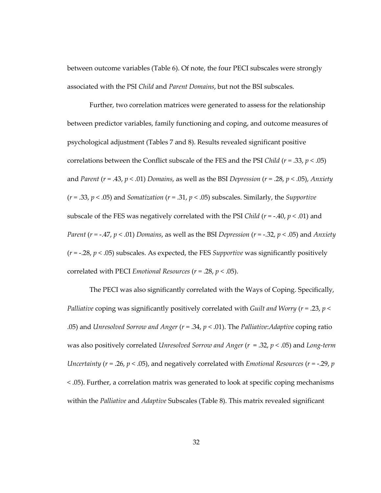between outcome variables (Table 6). Of note, the four PECI subscales were strongly associated with the PSI Child and Parent Domains, but not the BSI subscales.

Further, two correlation matrices were generated to assess for the relationship between predictor variables, family functioning and coping, and outcome measures of psychological adjustment (Tables 7 and 8). Results revealed significant positive correlations between the Conflict subscale of the FES and the PSI Child ( $r = .33$ ,  $p < .05$ ) and Parent ( $r = .43$ ,  $p < .01$ ) Domains, as well as the BSI Depression ( $r = .28$ ,  $p < .05$ ), Anxiety  $(r = .33, p < .05)$  and Somatization  $(r = .31, p < .05)$  subscales. Similarly, the Supportive subscale of the FES was negatively correlated with the PSI Child ( $r = -.40$ ,  $p < .01$ ) and Parent ( $r = -0.47$ ,  $p < 0.01$ ) Domains, as well as the BSI Depression ( $r = -0.32$ ,  $p < 0.05$ ) and Anxiety  $(r = -.28, p < .05)$  subscales. As expected, the FES *Supportive* was significantly positively correlated with PECI *Emotional Resources* ( $r = .28$ ,  $p < .05$ ).

The PECI was also significantly correlated with the Ways of Coping. Specifically, Palliative coping was significantly positively correlated with Guilt and Worry ( $r = 0.23$ ,  $p <$ .05) and Unresolved Sorrow and Anger ( $r = .34$ ,  $p < .01$ ). The Palliative: Adaptive coping ratio was also positively correlated Unresolved Sorrow and Anger  $(r = .32, p < .05)$  and Long-term Uncertainty ( $r = 0.26$ ,  $p < 0.05$ ), and negatively correlated with *Emotional Resources* ( $r = -0.29$ ,  $p = 0.29$ < .05). Further, a correlation matrix was generated to look at specific coping mechanisms within the Palliative and Adaptive Subscales (Table 8). This matrix revealed significant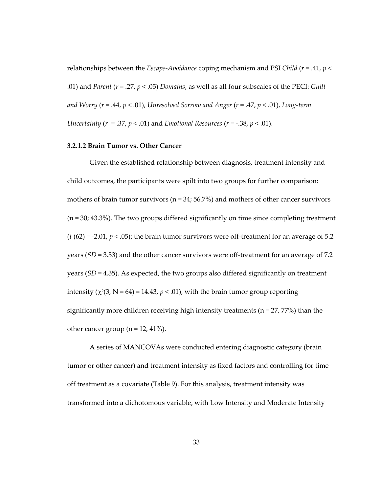relationships between the *Escape-Avoidance* coping mechanism and PSI Child ( $r = .41$ ,  $p <$ .01) and *Parent (r = .27, p < .*05) *Domains,* as well as all four subscales of the PECI: Guilt and Worry ( $r = .44$ ,  $p < .01$ ), Unresolved Sorrow and Anger ( $r = .47$ ,  $p < .01$ ), Long-term Uncertainty ( $r = 0.37$ ,  $p < 0.01$ ) and Emotional Resources ( $r = -0.38$ ,  $p < 0.01$ ).

#### 3.2.1.2 Brain Tumor vs. Other Cancer

Given the established relationship between diagnosis, treatment intensity and child outcomes, the participants were spilt into two groups for further comparison: mothers of brain tumor survivors ( $n = 34$ ; 56.7%) and mothers of other cancer survivors (n = 30; 43.3%). The two groups differed significantly on time since completing treatment  $(t (62) = -2.01, p < .05)$ ; the brain tumor survivors were off-treatment for an average of 5.2 years ( $SD = 3.53$ ) and the other cancer survivors were off-treatment for an average of 7.2 years ( $SD = 4.35$ ). As expected, the two groups also differed significantly on treatment intensity ( $\chi^2(3, N = 64) = 14.43$ ,  $p < .01$ ), with the brain tumor group reporting significantly more children receiving high intensity treatments ( $n = 27,77\%)$  than the other cancer group ( $n = 12, 41\%$ ).

A series of MANCOVAs were conducted entering diagnostic category (brain tumor or other cancer) and treatment intensity as fixed factors and controlling for time off treatment as a covariate (Table 9). For this analysis, treatment intensity was transformed into a dichotomous variable, with Low Intensity and Moderate Intensity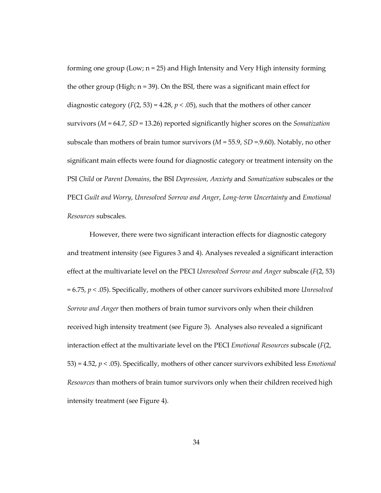forming one group (Low; n = 25) and High Intensity and Very High intensity forming the other group (High;  $n = 39$ ). On the BSI, there was a significant main effect for diagnostic category ( $F(2, 53) = 4.28$ ,  $p < .05$ ), such that the mothers of other cancer survivors ( $M = 64.7$ ,  $SD = 13.26$ ) reported significantly higher scores on the *Somatization* subscale than mothers of brain tumor survivors ( $M = 55.9$ ,  $SD = 9.60$ ). Notably, no other significant main effects were found for diagnostic category or treatment intensity on the PSI Child or Parent Domains, the BSI Depression, Anxiety and Somatization subscales or the PECI Guilt and Worry, Unresolved Sorrow and Anger, Long-term Uncertainty and Emotional Resources subscales.

However, there were two significant interaction effects for diagnostic category and treatment intensity (see Figures 3 and 4). Analyses revealed a significant interaction effect at the multivariate level on the PECI *Unresolved Sorrow and Anger* subscale  $(F(2, 53))$  $= 6.75$ ,  $p < .05$ ). Specifically, mothers of other cancer survivors exhibited more Unresolved Sorrow and Anger then mothers of brain tumor survivors only when their children received high intensity treatment (see Figure 3). Analyses also revealed a significant interaction effect at the multivariate level on the PECI *Emotional Resources* subscale  $(F(2,$ 53) = 4.52,  $p < .05$ ). Specifically, mothers of other cancer survivors exhibited less *Emotional* Resources than mothers of brain tumor survivors only when their children received high intensity treatment (see Figure 4).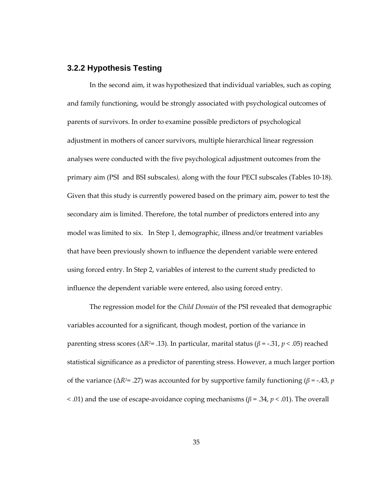#### **3.2.2 Hypothesis Testing**

In the second aim, it was hypothesized that individual variables, such as coping and family functioning, would be strongly associated with psychological outcomes of parents of survivors. In order to examine possible predictors of psychological adjustment in mothers of cancer survivors, multiple hierarchical linear regression analyses were conducted with the five psychological adjustment outcomes from the primary aim (PSI and BSI subscales), along with the four PECI subscales (Tables 10-18). Given that this study is currently powered based on the primary aim, power to test the secondary aim is limited. Therefore, the total number of predictors entered into any model was limited to six. In Step 1, demographic, illness and/or treatment variables that have been previously shown to influence the dependent variable were entered using forced entry. In Step 2, variables of interest to the current study predicted to influence the dependent variable were entered, also using forced entry.

The regression model for the *Child Domain* of the PSI revealed that demographic variables accounted for a significant, though modest, portion of the variance in parenting stress scores ( $ΔR² = .13$ ). In particular, marital status ( $β = .31, p < .05$ ) reached statistical significance as a predictor of parenting stress. However, a much larger portion of the variance ( $\Delta R^2$ = .27) was accounted for by supportive family functioning ( $\beta$  = -.43, *p*  $<$  .01) and the use of escape-avoidance coping mechanisms ( $\beta$  = .34,  $p$   $<$  .01). The overall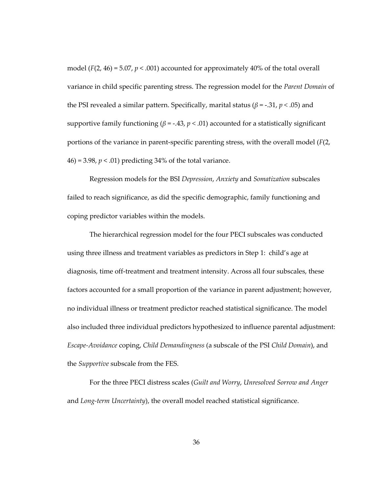model ( $F(2, 46) = 5.07$ ,  $p < .001$ ) accounted for approximately 40% of the total overall variance in child specific parenting stress. The regression model for the Parent Domain of the PSI revealed a similar pattern. Specifically, marital status ( $β = -.31, p < .05$ ) and supportive family functioning ( $\beta$  = -.43,  $p < .01$ ) accounted for a statistically significant portions of the variance in parent-specific parenting stress, with the overall model  $(F(2,$ 46) = 3.98,  $p < .01$ ) predicting 34% of the total variance.

Regression models for the BSI Depression, Anxiety and Somatization subscales failed to reach significance, as did the specific demographic, family functioning and coping predictor variables within the models.

The hierarchical regression model for the four PECI subscales was conducted using three illness and treatment variables as predictors in Step 1: child's age at diagnosis, time off-treatment and treatment intensity. Across all four subscales, these factors accounted for a small proportion of the variance in parent adjustment; however, no individual illness or treatment predictor reached statistical significance. The model also included three individual predictors hypothesized to influence parental adjustment: Escape-Avoidance coping, Child Demandingness (a subscale of the PSI Child Domain), and the Supportive subscale from the FES.

For the three PECI distress scales (Guilt and Worry, Unresolved Sorrow and Anger and Long-term Uncertainty), the overall model reached statistical significance.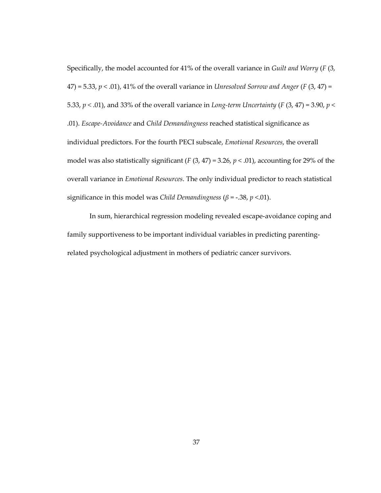Specifically, the model accounted for 41% of the overall variance in Guilt and Worry (F (3,  $47$ ) = 5.33, p < .01), 41% of the overall variance in *Unresolved Sorrow and Anger* (F (3, 47) = 5.33,  $p < .01$ ), and 33% of the overall variance in Long-term Uncertainty (F (3, 47) = 3.90,  $p <$ .01). Escape-Avoidance and Child Demandingness reached statistical significance as individual predictors. For the fourth PECI subscale, Emotional Resources, the overall model was also statistically significant ( $F(3, 47) = 3.26$ ,  $p < .01$ ), accounting for 29% of the overall variance in Emotional Resources. The only individual predictor to reach statistical significance in this model was Child Demandingness ( $\beta$  = -.38, p <.01).

In sum, hierarchical regression modeling revealed escape-avoidance coping and family supportiveness to be important individual variables in predicting parentingrelated psychological adjustment in mothers of pediatric cancer survivors.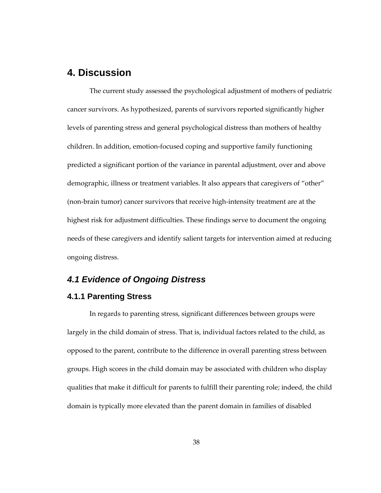# **4. Discussion**

The current study assessed the psychological adjustment of mothers of pediatric cancer survivors. As hypothesized, parents of survivors reported significantly higher levels of parenting stress and general psychological distress than mothers of healthy children. In addition, emotion-focused coping and supportive family functioning predicted a significant portion of the variance in parental adjustment, over and above demographic, illness or treatment variables. It also appears that caregivers of "other" (non-brain tumor) cancer survivors that receive high-intensity treatment are at the highest risk for adjustment difficulties. These findings serve to document the ongoing needs of these caregivers and identify salient targets for intervention aimed at reducing ongoing distress.

# **4.1 Evidence of Ongoing Distress**

#### **4.1.1 Parenting Stress**

In regards to parenting stress, significant differences between groups were largely in the child domain of stress. That is, individual factors related to the child, as opposed to the parent, contribute to the difference in overall parenting stress between groups. High scores in the child domain may be associated with children who display qualities that make it difficult for parents to fulfill their parenting role; indeed, the child domain is typically more elevated than the parent domain in families of disabled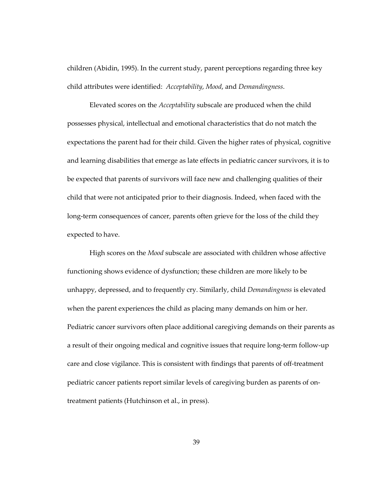children (Abidin, 1995). In the current study, parent perceptions regarding three key child attributes were identified: Acceptability, Mood, and Demandingness.

Elevated scores on the Acceptability subscale are produced when the child possesses physical, intellectual and emotional characteristics that do not match the expectations the parent had for their child. Given the higher rates of physical, cognitive and learning disabilities that emerge as late effects in pediatric cancer survivors, it is to be expected that parents of survivors will face new and challenging qualities of their child that were not anticipated prior to their diagnosis. Indeed, when faced with the long-term consequences of cancer, parents often grieve for the loss of the child they expected to have.

High scores on the Mood subscale are associated with children whose affective functioning shows evidence of dysfunction; these children are more likely to be unhappy, depressed, and to frequently cry. Similarly, child *Demandingness* is elevated when the parent experiences the child as placing many demands on him or her. Pediatric cancer survivors often place additional caregiving demands on their parents as a result of their ongoing medical and cognitive issues that require long-term follow-up care and close vigilance. This is consistent with findings that parents of off-treatment pediatric cancer patients report similar levels of caregiving burden as parents of ontreatment patients (Hutchinson et al., in press).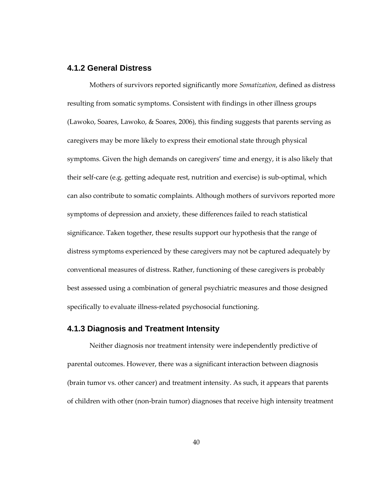#### **4.1.2 General Distress**

Mothers of survivors reported significantly more *Somatization*, defined as distress resulting from somatic symptoms. Consistent with findings in other illness groups (Lawoko, Soares, Lawoko, & Soares, 2006), this finding suggests that parents serving as caregivers may be more likely to express their emotional state through physical symptoms. Given the high demands on caregivers' time and energy, it is also likely that their self-care (e.g. getting adequate rest, nutrition and exercise) is sub-optimal, which can also contribute to somatic complaints. Although mothers of survivors reported more symptoms of depression and anxiety, these differences failed to reach statistical significance. Taken together, these results support our hypothesis that the range of distress symptoms experienced by these caregivers may not be captured adequately by conventional measures of distress. Rather, functioning of these caregivers is probably best assessed using a combination of general psychiatric measures and those designed specifically to evaluate illness-related psychosocial functioning.

#### **4.1.3 Diagnosis and Treatment Intensity**

Neither diagnosis nor treatment intensity were independently predictive of parental outcomes. However, there was a significant interaction between diagnosis (brain tumor vs. other cancer) and treatment intensity. As such, it appears that parents of children with other (non-brain tumor) diagnoses that receive high intensity treatment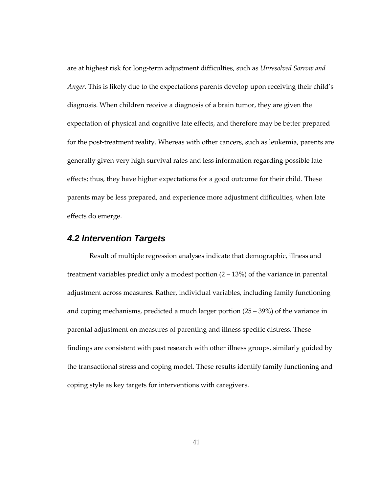are at highest risk for long-term adjustment difficulties, such as Unresolved Sorrow and Anger. This is likely due to the expectations parents develop upon receiving their child's diagnosis. When children receive a diagnosis of a brain tumor, they are given the expectation of physical and cognitive late effects, and therefore may be better prepared for the post-treatment reality. Whereas with other cancers, such as leukemia, parents are generally given very high survival rates and less information regarding possible late effects; thus, they have higher expectations for a good outcome for their child. These parents may be less prepared, and experience more adjustment difficulties, when late effects do emerge.

# **4.2 Intervention Targets**

Result of multiple regression analyses indicate that demographic, illness and treatment variables predict only a modest portion  $(2 – 13%)$  of the variance in parental adjustment across measures. Rather, individual variables, including family functioning and coping mechanisms, predicted a much larger portion (25 – 39%) of the variance in parental adjustment on measures of parenting and illness specific distress. These findings are consistent with past research with other illness groups, similarly guided by the transactional stress and coping model. These results identify family functioning and coping style as key targets for interventions with caregivers.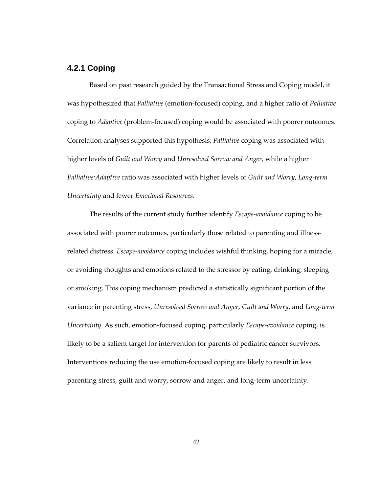## **4.2.1 Coping**

Based on past research guided by the Transactional Stress and Coping model, it was hypothesized that *Palliative* (emotion-focused) coping, and a higher ratio of *Palliative* coping to Adaptive (problem-focused) coping would be associated with poorer outcomes. Correlation analyses supported this hypothesis; Palliative coping was associated with higher levels of Guilt and Worry and Unresolved Sorrow and Anger, while a higher Palliative:Adaptive ratio was associated with higher levels of Guilt and Worry, Long-term Uncertainty and fewer Emotional Resources.

The results of the current study further identify *Escape-avoidance* coping to be associated with poorer outcomes, particularly those related to parenting and illnessrelated distress. Escape-avoidance coping includes wishful thinking, hoping for a miracle, or avoiding thoughts and emotions related to the stressor by eating, drinking, sleeping or smoking. This coping mechanism predicted a statistically significant portion of the variance in parenting stress, Unresolved Sorrow and Anger, Guilt and Worry, and Long-term Uncertainty. As such, emotion-focused coping, particularly Escape-avoidance coping, is likely to be a salient target for intervention for parents of pediatric cancer survivors. Interventions reducing the use emotion-focused coping are likely to result in less parenting stress, guilt and worry, sorrow and anger, and long-term uncertainty.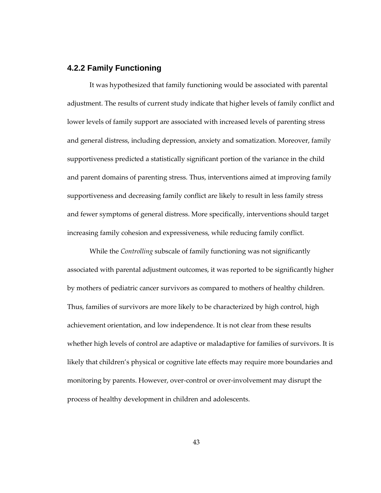#### **4.2.2 Family Functioning**

It was hypothesized that family functioning would be associated with parental adjustment. The results of current study indicate that higher levels of family conflict and lower levels of family support are associated with increased levels of parenting stress and general distress, including depression, anxiety and somatization. Moreover, family supportiveness predicted a statistically significant portion of the variance in the child and parent domains of parenting stress. Thus, interventions aimed at improving family supportiveness and decreasing family conflict are likely to result in less family stress and fewer symptoms of general distress. More specifically, interventions should target increasing family cohesion and expressiveness, while reducing family conflict.

While the Controlling subscale of family functioning was not significantly associated with parental adjustment outcomes, it was reported to be significantly higher by mothers of pediatric cancer survivors as compared to mothers of healthy children. Thus, families of survivors are more likely to be characterized by high control, high achievement orientation, and low independence. It is not clear from these results whether high levels of control are adaptive or maladaptive for families of survivors. It is likely that children's physical or cognitive late effects may require more boundaries and monitoring by parents. However, over-control or over-involvement may disrupt the process of healthy development in children and adolescents.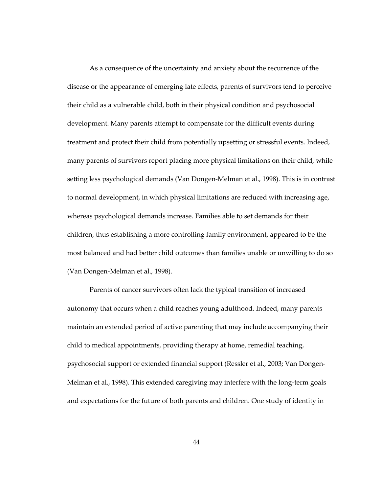As a consequence of the uncertainty and anxiety about the recurrence of the disease or the appearance of emerging late effects, parents of survivors tend to perceive their child as a vulnerable child, both in their physical condition and psychosocial development. Many parents attempt to compensate for the difficult events during treatment and protect their child from potentially upsetting or stressful events. Indeed, many parents of survivors report placing more physical limitations on their child, while setting less psychological demands (Van Dongen-Melman et al., 1998). This is in contrast to normal development, in which physical limitations are reduced with increasing age, whereas psychological demands increase. Families able to set demands for their children, thus establishing a more controlling family environment, appeared to be the most balanced and had better child outcomes than families unable or unwilling to do so (Van Dongen-Melman et al., 1998).

Parents of cancer survivors often lack the typical transition of increased autonomy that occurs when a child reaches young adulthood. Indeed, many parents maintain an extended period of active parenting that may include accompanying their child to medical appointments, providing therapy at home, remedial teaching, psychosocial support or extended financial support (Ressler et al., 2003; Van Dongen-Melman et al., 1998). This extended caregiving may interfere with the long-term goals and expectations for the future of both parents and children. One study of identity in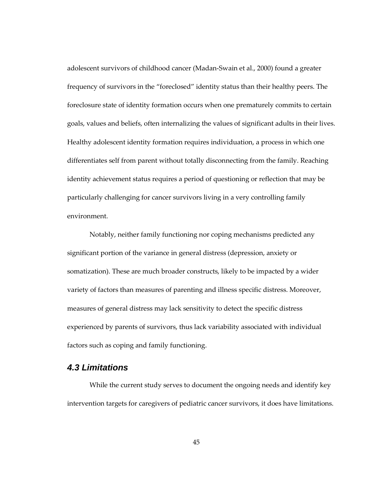adolescent survivors of childhood cancer (Madan-Swain et al., 2000) found a greater frequency of survivors in the "foreclosed" identity status than their healthy peers. The foreclosure state of identity formation occurs when one prematurely commits to certain goals, values and beliefs, often internalizing the values of significant adults in their lives. Healthy adolescent identity formation requires individuation, a process in which one differentiates self from parent without totally disconnecting from the family. Reaching identity achievement status requires a period of questioning or reflection that may be particularly challenging for cancer survivors living in a very controlling family environment.

Notably, neither family functioning nor coping mechanisms predicted any significant portion of the variance in general distress (depression, anxiety or somatization). These are much broader constructs, likely to be impacted by a wider variety of factors than measures of parenting and illness specific distress. Moreover, measures of general distress may lack sensitivity to detect the specific distress experienced by parents of survivors, thus lack variability associated with individual factors such as coping and family functioning.

# **4.3 Limitations**

While the current study serves to document the ongoing needs and identify key intervention targets for caregivers of pediatric cancer survivors, it does have limitations.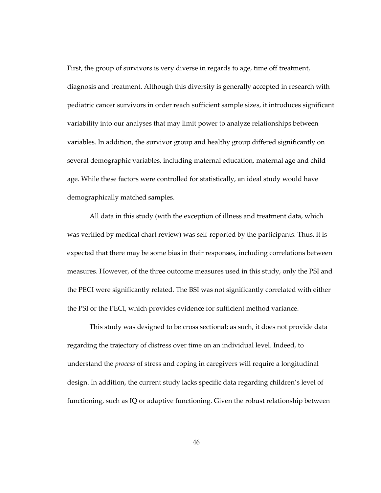First, the group of survivors is very diverse in regards to age, time off treatment, diagnosis and treatment. Although this diversity is generally accepted in research with pediatric cancer survivors in order reach sufficient sample sizes, it introduces significant variability into our analyses that may limit power to analyze relationships between variables. In addition, the survivor group and healthy group differed significantly on several demographic variables, including maternal education, maternal age and child age. While these factors were controlled for statistically, an ideal study would have demographically matched samples.

All data in this study (with the exception of illness and treatment data, which was verified by medical chart review) was self-reported by the participants. Thus, it is expected that there may be some bias in their responses, including correlations between measures. However, of the three outcome measures used in this study, only the PSI and the PECI were significantly related. The BSI was not significantly correlated with either the PSI or the PECI, which provides evidence for sufficient method variance.

This study was designed to be cross sectional; as such, it does not provide data regarding the trajectory of distress over time on an individual level. Indeed, to understand the process of stress and coping in caregivers will require a longitudinal design. In addition, the current study lacks specific data regarding children's level of functioning, such as IQ or adaptive functioning. Given the robust relationship between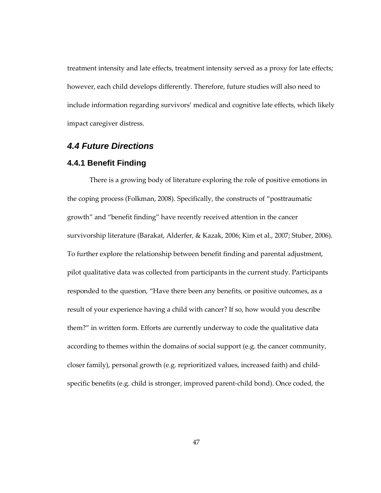treatment intensity and late effects, treatment intensity served as a proxy for late effects; however, each child develops differently. Therefore, future studies will also need to include information regarding survivors' medical and cognitive late effects, which likely impact caregiver distress.

## **4.4 Future Directions**

#### **4.4.1 Benefit Finding**

There is a growing body of literature exploring the role of positive emotions in the coping process (Folkman, 2008). Specifically, the constructs of "posttraumatic growth" and "benefit finding" have recently received attention in the cancer survivorship literature (Barakat, Alderfer, & Kazak, 2006; Kim et al., 2007; Stuber, 2006). To further explore the relationship between benefit finding and parental adjustment, pilot qualitative data was collected from participants in the current study. Participants responded to the question, "Have there been any benefits, or positive outcomes, as a result of your experience having a child with cancer? If so, how would you describe them?" in written form. Efforts are currently underway to code the qualitative data according to themes within the domains of social support (e.g. the cancer community, closer family), personal growth (e.g. reprioritized values, increased faith) and childspecific benefits (e.g. child is stronger, improved parent-child bond). Once coded, the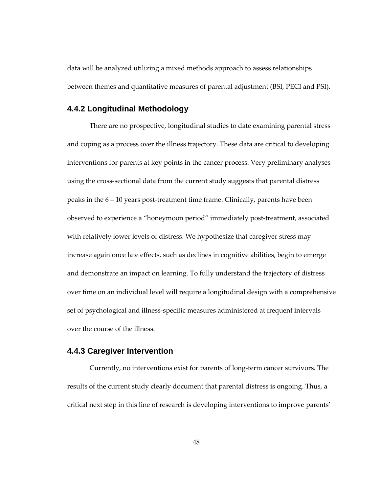data will be analyzed utilizing a mixed methods approach to assess relationships between themes and quantitative measures of parental adjustment (BSI, PECI and PSI).

#### **4.4.2 Longitudinal Methodology**

There are no prospective, longitudinal studies to date examining parental stress and coping as a process over the illness trajectory. These data are critical to developing interventions for parents at key points in the cancer process. Very preliminary analyses using the cross-sectional data from the current study suggests that parental distress peaks in the 6 – 10 years post-treatment time frame. Clinically, parents have been observed to experience a "honeymoon period" immediately post-treatment, associated with relatively lower levels of distress. We hypothesize that caregiver stress may increase again once late effects, such as declines in cognitive abilities, begin to emerge and demonstrate an impact on learning. To fully understand the trajectory of distress over time on an individual level will require a longitudinal design with a comprehensive set of psychological and illness-specific measures administered at frequent intervals over the course of the illness.

#### **4.4.3 Caregiver Intervention**

Currently, no interventions exist for parents of long-term cancer survivors. The results of the current study clearly document that parental distress is ongoing. Thus, a critical next step in this line of research is developing interventions to improve parents'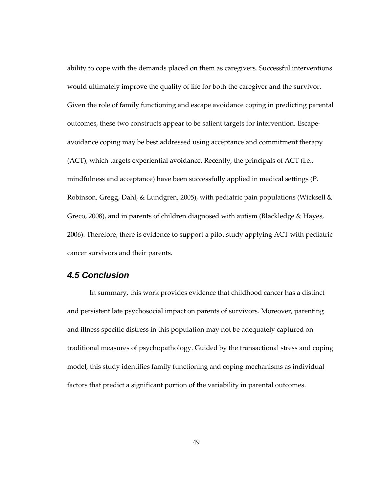ability to cope with the demands placed on them as caregivers. Successful interventions would ultimately improve the quality of life for both the caregiver and the survivor. Given the role of family functioning and escape avoidance coping in predicting parental outcomes, these two constructs appear to be salient targets for intervention. Escapeavoidance coping may be best addressed using acceptance and commitment therapy (ACT), which targets experiential avoidance. Recently, the principals of ACT (i.e., mindfulness and acceptance) have been successfully applied in medical settings (P. Robinson, Gregg, Dahl, & Lundgren, 2005), with pediatric pain populations (Wicksell & Greco, 2008), and in parents of children diagnosed with autism (Blackledge & Hayes, 2006). Therefore, there is evidence to support a pilot study applying ACT with pediatric cancer survivors and their parents.

# **4.5 Conclusion**

In summary, this work provides evidence that childhood cancer has a distinct and persistent late psychosocial impact on parents of survivors. Moreover, parenting and illness specific distress in this population may not be adequately captured on traditional measures of psychopathology. Guided by the transactional stress and coping model, this study identifies family functioning and coping mechanisms as individual factors that predict a significant portion of the variability in parental outcomes.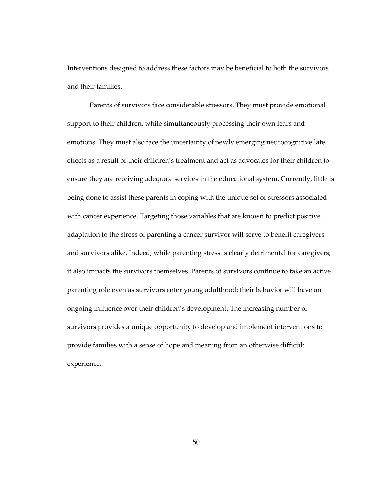Interventions designed to address these factors may be beneficial to both the survivors and their families.

Parents of survivors face considerable stressors. They must provide emotional support to their children, while simultaneously processing their own fears and emotions. They must also face the uncertainty of newly emerging neurocognitive late effects as a result of their children's treatment and act as advocates for their children to ensure they are receiving adequate services in the educational system. Currently, little is being done to assist these parents in coping with the unique set of stressors associated with cancer experience. Targeting those variables that are known to predict positive adaptation to the stress of parenting a cancer survivor will serve to benefit caregivers and survivors alike. Indeed, while parenting stress is clearly detrimental for caregivers, it also impacts the survivors themselves. Parents of survivors continue to take an active parenting role even as survivors enter young adulthood; their behavior will have an ongoing influence over their children's development. The increasing number of survivors provides a unique opportunity to develop and implement interventions to provide families with a sense of hope and meaning from an otherwise difficult experience.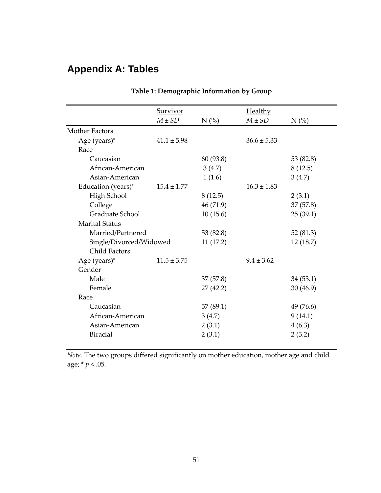# **Appendix A: Tables**

|                         | <b>Survivor</b><br>$M \pm SD$ | $N$ (%)   | Healthy<br>$M \pm SD$ | $N$ (%)   |
|-------------------------|-------------------------------|-----------|-----------------------|-----------|
| <b>Mother Factors</b>   |                               |           |                       |           |
|                         |                               |           |                       |           |
| Age (years) $*$         | $41.1 \pm 5.98$               |           | $36.6 \pm 5.33$       |           |
| Race                    |                               |           |                       |           |
| Caucasian               |                               | 60 (93.8) |                       | 53 (82.8) |
| African-American        |                               | 3(4.7)    |                       | 8(12.5)   |
| Asian-American          |                               | 1(1.6)    |                       | 3(4.7)    |
| Education (years)*      | $15.4 \pm 1.77$               |           | $16.3 \pm 1.83$       |           |
| High School             |                               | 8(12.5)   |                       | 2(3.1)    |
| College                 |                               | 46 (71.9) |                       | 37(57.8)  |
| Graduate School         |                               | 10(15.6)  |                       | 25(39.1)  |
| <b>Marital Status</b>   |                               |           |                       |           |
| Married/Partnered       |                               | 53 (82.8) |                       | 52 (81.3) |
| Single/Divorced/Widowed |                               | 11(17.2)  |                       | 12(18.7)  |
| <b>Child Factors</b>    |                               |           |                       |           |
| Age (years) $*$         | $11.5 \pm 3.75$               |           | $9.4 + 3.62$          |           |
| Gender                  |                               |           |                       |           |
| Male                    |                               | 37(57.8)  |                       | 34(53.1)  |
| Female                  |                               | 27(42.2)  |                       | 30(46.9)  |
| Race                    |                               |           |                       |           |
| Caucasian               |                               | 57 (89.1) |                       | 49 (76.6) |
| African-American        |                               | 3(4.7)    |                       | 9(14.1)   |
| Asian-American          |                               | 2(3.1)    |                       | 4(6.3)    |
| <b>Biracial</b>         |                               | 2(3.1)    |                       | 2(3.2)    |
|                         |                               |           |                       |           |

# Table 1: Demographic Information by Group

Note. The two groups differed significantly on mother education, mother age and child age;  $* p < .05$ .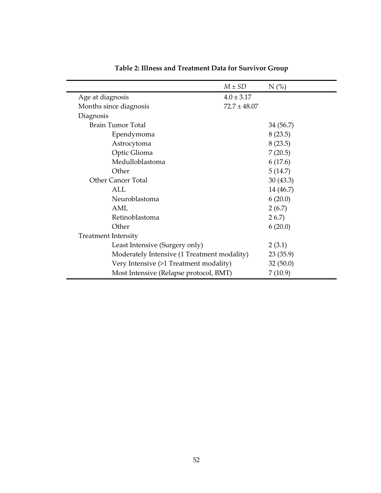|                                             | $M \pm SD$       | $N$ (%)   |
|---------------------------------------------|------------------|-----------|
| Age at diagnosis                            | $4.0 \pm 3.17$   |           |
| Months since diagnosis                      | $72.7 \pm 48.07$ |           |
| Diagnosis                                   |                  |           |
| Brain Tumor Total                           |                  | 34 (56.7) |
| Ependymoma                                  |                  | 8(23.5)   |
| Astrocytoma                                 |                  | 8(23.5)   |
| Optic Glioma                                |                  | 7(20.5)   |
| Medulloblastoma                             |                  | 6(17.6)   |
| Other                                       |                  | 5(14.7)   |
| <b>Other Cancer Total</b>                   |                  | 30(43.3)  |
| AI.                                         |                  | 14 (46.7) |
| Neuroblastoma                               |                  | 6(20.0)   |
| AML                                         |                  | 2(6.7)    |
| Retinoblastoma                              |                  | 26.7      |
| Other                                       |                  | 6(20.0)   |
| <b>Treatment Intensity</b>                  |                  |           |
| Least Intensive (Surgery only)              |                  | 2(3.1)    |
| Moderately Intensive (1 Treatment modality) |                  | 23(35.9)  |
| Very Intensive (>1 Treatment modality)      |                  | 32(50.0)  |
| Most Intensive (Relapse protocol, BMT)      |                  | 7(10.9)   |

Table 2: Illness and Treatment Data for Survivor Group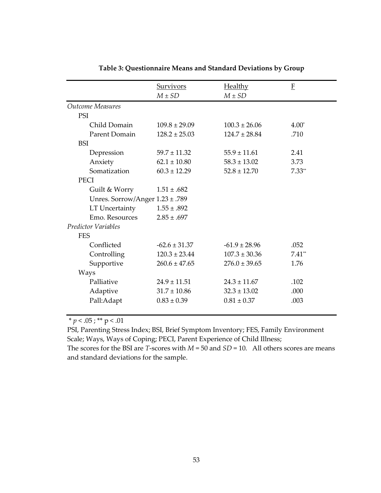|                                 | <b>Survivors</b>  | <b>Healthy</b>    | E        |
|---------------------------------|-------------------|-------------------|----------|
|                                 | $M \pm SD$        | $M \pm SD$        |          |
| <b>Outcome Measures</b>         |                   |                   |          |
| PSI                             |                   |                   |          |
| Child Domain                    | $109.8 \pm 29.09$ | $100.3 \pm 26.06$ | $4.00*$  |
| Parent Domain                   | $128.2 \pm 25.03$ | $124.7 \pm 28.84$ | .710     |
| <b>BSI</b>                      |                   |                   |          |
| Depression                      | $59.7 \pm 11.32$  | $55.9 \pm 11.61$  | 2.41     |
| Anxiety                         | $62.1 \pm 10.80$  | $58.3 \pm 13.02$  | 3.73     |
| Somatization                    | $60.3 \pm 12.29$  | $52.8 \pm 12.70$  | $7.33**$ |
| <b>PECI</b>                     |                   |                   |          |
| Guilt & Worry                   | $1.51 \pm .682$   |                   |          |
| Unres. Sorrow/Anger 1.23 ± .789 |                   |                   |          |
| LT Uncertainty                  | $1.55 \pm .892$   |                   |          |
| Emo. Resources                  | $2.85 \pm .697$   |                   |          |
| <b>Predictor Variables</b>      |                   |                   |          |
| <b>FES</b>                      |                   |                   |          |
| Conflicted                      | $-62.6 \pm 31.37$ | $-61.9 \pm 28.96$ | .052     |
| Controlling                     | $120.3 \pm 23.44$ | $107.3 \pm 30.36$ | $7.41**$ |
| Supportive                      | $260.6 \pm 47.65$ | $276.0 \pm 39.65$ | 1.76     |
| Ways                            |                   |                   |          |
| Palliative                      | $24.9 \pm 11.51$  | $24.3 \pm 11.67$  | .102     |
| Adaptive                        | $31.7 \pm 10.86$  | $32.3 \pm 13.02$  | .000     |
| Pall:Adapt                      | $0.83 \pm 0.39$   | $0.81 \pm 0.37$   | .003     |
|                                 |                   |                   |          |

| Table 3: Questionnaire Means and Standard Deviations by Group |  |
|---------------------------------------------------------------|--|
|                                                               |  |

\*  $p < .05$  ; \*\*  $p < .01$ 

PSI, Parenting Stress Index; BSI, Brief Symptom Inventory; FES, Family Environment Scale; Ways, Ways of Coping; PECI, Parent Experience of Child Illness;

The scores for the BSI are T-scores with  $M = 50$  and  $SD = 10$ . All others scores are means and standard deviations for the sample.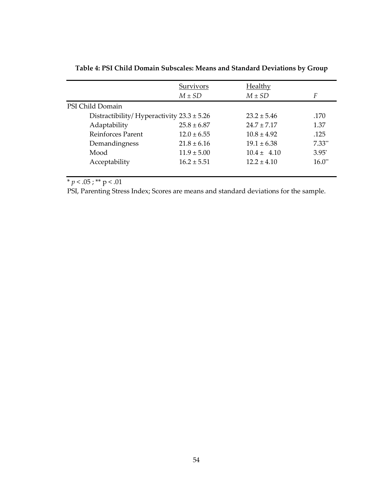|                                                | Survivors       | <b>Healthy</b>  |             |
|------------------------------------------------|-----------------|-----------------|-------------|
|                                                | $M \pm SD$      | $M \pm SD$      | F           |
| PSI Child Domain                               |                 |                 |             |
| Distractibility/ Hyperactivity $23.3 \pm 5.26$ |                 | $23.2 \pm 5.46$ | .170        |
| Adaptability                                   | $25.8 \pm 6.87$ | $24.7 \pm 7.17$ | 1.37        |
| <b>Reinforces Parent</b>                       | $12.0 \pm 6.55$ | $10.8 + 4.92$   | .125        |
| Demandingness                                  | $21.8 \pm 6.16$ | $19.1 \pm 6.38$ | $7.33**$    |
| Mood                                           | $11.9 \pm 5.00$ | $10.4 \pm 4.10$ | $3.95*$     |
| Acceptability                                  | $16.2 \pm 5.51$ | $12.2 \pm 4.10$ | $16.0^{**}$ |
|                                                |                 |                 |             |

| Table 4: PSI Child Domain Subscales: Means and Standard Deviations by Group |
|-----------------------------------------------------------------------------|
|-----------------------------------------------------------------------------|

\*  $p < .05$  ; \*\*  $p < .01$ 

PSI, Parenting Stress Index; Scores are means and standard deviations for the sample.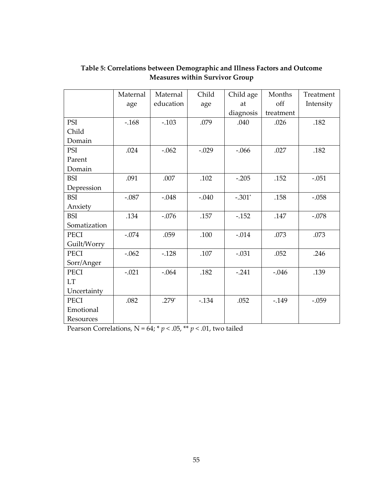|              | Maternal | Maternal  | Child   | Child age | Months    | Treatment |
|--------------|----------|-----------|---------|-----------|-----------|-----------|
|              | age      | education | age     | at        | off       | Intensity |
|              |          |           |         | diagnosis | treatment |           |
| PSI          | $-168$   | $-.103$   | .079    | .040      | .026      | .182      |
| Child        |          |           |         |           |           |           |
| Domain       |          |           |         |           |           |           |
| PSI          | .024     | $-.062$   | $-.029$ | $-.066$   | .027      | .182      |
| Parent       |          |           |         |           |           |           |
| Domain       |          |           |         |           |           |           |
| <b>BSI</b>   | .091     | .007      | .102    | $-.205$   | .152      | $-.051$   |
| Depression   |          |           |         |           |           |           |
| <b>BSI</b>   | $-.087$  | $-.048$   | $-.040$ | $-.301*$  | .158      | $-.058$   |
| Anxiety      |          |           |         |           |           |           |
| <b>BSI</b>   | .134     | $-.076$   | .157    | $-.152$   | .147      | $-.078$   |
| Somatization |          |           |         |           |           |           |
| PECI         | $-.074$  | .059      | .100    | $-.014$   | .073      | .073      |
| Guilt/Worry  |          |           |         |           |           |           |
| <b>PECI</b>  | $-.062$  | $-.128$   | .107    | $-.031$   | .052      | .246      |
| Sorr/Anger   |          |           |         |           |           |           |
| <b>PECI</b>  | $-.021$  | $-.064$   | .182    | $-.241$   | $-.046$   | .139      |
| <b>LT</b>    |          |           |         |           |           |           |
| Uncertainty  |          |           |         |           |           |           |
| <b>PECI</b>  | .082     | $.279*$   | $-.134$ | .052      | $-.149$   | $-.059$   |
| Emotional    |          |           |         |           |           |           |
| Resources    |          |           |         |           |           |           |

# Table 5: Correlations between Demographic and Illness Factors and Outcome Measures within Survivor Group

Pearson Correlations,  $N = 64$ ;  $* p < .05$ ,  $** p < .01$ , two tailed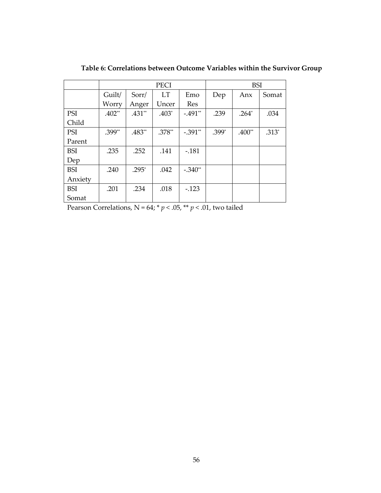|            |          |          | <b>PECI</b>      |            | <b>BSI</b> |          |         |
|------------|----------|----------|------------------|------------|------------|----------|---------|
|            | Guilt/   | Sorr/    | <b>LT</b><br>Emo |            | Dep        | Anx      | Somat   |
|            | Worry    | Anger    | Uncer            | <b>Res</b> |            |          |         |
| PSI        | $.402**$ | $.431**$ | $.403*$          | $-.491**$  | .239       | $.264*$  | .034    |
| Child      |          |          |                  |            |            |          |         |
| PSI        | .399**   | .483**   | $.378**$         | $-.391**$  | $.399*$    | $.400**$ | $.313*$ |
| Parent     |          |          |                  |            |            |          |         |
| <b>BSI</b> | .235     | .252     | .141             | $-.181$    |            |          |         |
| Dep        |          |          |                  |            |            |          |         |
| <b>BSI</b> | .240     | $.295*$  | .042             | $-.340**$  |            |          |         |
| Anxiety    |          |          |                  |            |            |          |         |
| <b>BSI</b> | .201     | .234     | .018             | $-.123$    |            |          |         |
| Somat      |          |          |                  |            |            |          |         |

Table 6: Correlations between Outcome Variables within the Survivor Group

Pearson Correlations, N = 64; \*  $p$  < .05, \*\*  $p$  < .01, two tailed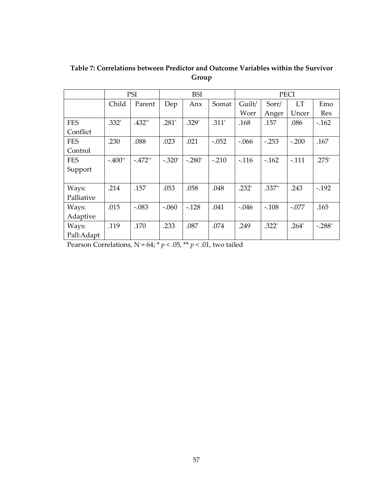|            |           | <b>PSI</b> | <b>BSI</b> |           |         | <b>PECI</b> |         |           |          |
|------------|-----------|------------|------------|-----------|---------|-------------|---------|-----------|----------|
|            | Child     | Parent     | Dep        | Anx       | Somat   | Guilt/      | Sorr/   | <b>LT</b> | Emo      |
|            |           |            |            |           |         | Worr        | Anger   | Uncer     | Res      |
| <b>FES</b> | $.332*$   | $.432**$   | $.281*$    | $.329*$   | $.311*$ | .168        | .157    | .086      | $-.162$  |
| Conflict   |           |            |            |           |         |             |         |           |          |
| <b>FES</b> | .230      | .088       | .023       | .021      | $-.052$ | $-.066$     | $-.253$ | $-.200$   | .167     |
| Control    |           |            |            |           |         |             |         |           |          |
| <b>FES</b> | $-.400**$ | $-.472**$  | $-.320*$   | $-.280^*$ | $-.210$ | $-.116$     | $-.162$ | $-.111$   | $.275*$  |
| Support    |           |            |            |           |         |             |         |           |          |
|            |           |            |            |           |         |             |         |           |          |
| Ways:      | .214      | .157       | .053       | .058      | .048    | $.232*$     | .337**  | .243      | $-.192$  |
| Palliative |           |            |            |           |         |             |         |           |          |
| Ways:      | .015      | $-.083$    | $-.060$    | $-.128$   | .041    | $-.046$     | $-.108$ | $-.077$   | .165     |
| Adaptive   |           |            |            |           |         |             |         |           |          |
| Ways:      | .119      | .170       | .233       | .087      | .074    | .249        | $.322*$ | $.264*$   | $-.288*$ |
| Pall:Adapt |           |            |            |           |         |             |         |           |          |

Table 7: Correlations between Predictor and Outcome Variables within the Survivor Group

Pearson Correlations,  $N = 64$ ;  $* p < .05$ ,  $** p < .01$ , two tailed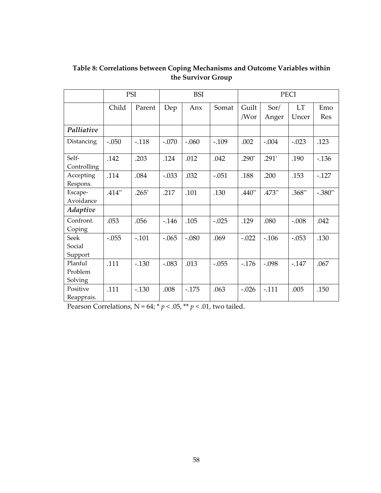|                               |          | PSI<br><b>BSI</b> |          |         |         | <b>PECI</b>   |               |                    |            |
|-------------------------------|----------|-------------------|----------|---------|---------|---------------|---------------|--------------------|------------|
|                               | Child    | Parent            | Dep      | Anx     | Somat   | Guilt<br>/Wor | Sor/<br>Anger | <b>LT</b><br>Uncer | Emo<br>Res |
| Palliative                    |          |                   |          |         |         |               |               |                    |            |
| Distancing                    | $-.050$  | $-.118$           | $-.070$  | $-.060$ | $-.109$ | .002          | $-.004$       | $-.023$            | .123       |
| Self-<br>Controlling          | .142     | .203              | .124     | .012    | .042    | $.290*$       | $.291*$       | .190               | $-0.136$   |
| Accepting<br>Respons.         | .114     | .084              | $-.033$  | .032    | $-.051$ | .188          | .200          | .153               | $-.127$    |
| Escape-<br>Avoidance          | $.414**$ | $.265*$           | .217     | .101    | .130    | $.440**$      | $.473**$      | $.368**$           | $-.380**$  |
| Adaptive                      |          |                   |          |         |         |               |               |                    |            |
| Confront.<br>Coping           | .053     | .056              | $-0.146$ | .105    | $-.025$ | .129          | .080          | $-.008$            | .042       |
| Seek<br>Social<br>Support     | $-.055$  | $-.101$           | $-.065$  | $-.080$ | .069    | $-.022$       | $-.106$       | $-.053$            | .130       |
| Planful<br>Problem<br>Solving | .111     | $-.130$           | $-.083$  | .013    | $-.055$ | $-.176$       | $-.098$       | $-.147$            | .067       |
| Positive<br>Reapprais.        | .111     | $-.130$           | .008     | $-175$  | .063    | $-.026$       | $-.111$       | .005               | .150       |

Table 8: Correlations between Coping Mechanisms and Outcome Variables within the Survivor Group

Pearson Correlations, N = 64; \*  $p < .05,$  \*\*  $p < .01,$  two tailed.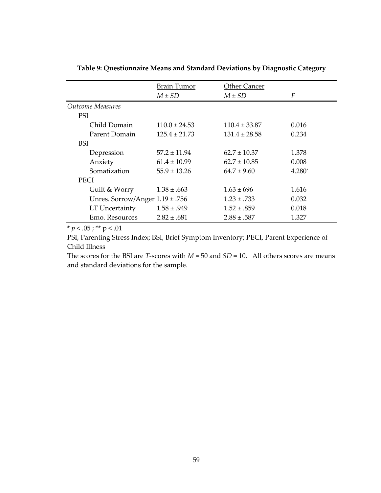|                                     | <b>Brain Tumor</b> | <b>Other Cancer</b> |        |
|-------------------------------------|--------------------|---------------------|--------|
|                                     | $M \pm SD$         | $M \pm SD$          | F      |
| Outcome Measures                    |                    |                     |        |
| <b>PSI</b>                          |                    |                     |        |
| Child Domain                        | $110.0 \pm 24.53$  | $110.4 \pm 33.87$   | 0.016  |
| Parent Domain                       | $125.4 \pm 21.73$  | $131.4 \pm 28.58$   | 0.234  |
| <b>BSI</b>                          |                    |                     |        |
| Depression                          | $57.2 \pm 11.94$   | $62.7 \pm 10.37$    | 1.378  |
| Anxiety                             | $61.4 \pm 10.99$   | $62.7 \pm 10.85$    | 0.008  |
| Somatization                        | $55.9 \pm 13.26$   | $64.7 \pm 9.60$     | 4.280* |
| <b>PECI</b>                         |                    |                     |        |
| Guilt & Worry                       | $1.38 \pm .663$    | $1.63 \pm 696$      | 1.616  |
| Unres. Sorrow/Anger $1.19 \pm .756$ |                    | $1.23 \pm .733$     | 0.032  |
| LT Uncertainty                      | $1.58 \pm .949$    | $1.52 \pm .859$     | 0.018  |
| Emo. Resources                      | $2.82 \pm .681$    | $2.88 \pm .587$     | 1.327  |

Table 9: Questionnaire Means and Standard Deviations by Diagnostic Category

\*  $p < .05$ ; \*\*  $p < .01$ 

PSI, Parenting Stress Index; BSI, Brief Symptom Inventory; PECI, Parent Experience of Child Illness

The scores for the BSI are *T*-scores with  $M = 50$  and  $SD = 10$ . All others scores are means and standard deviations for the sample.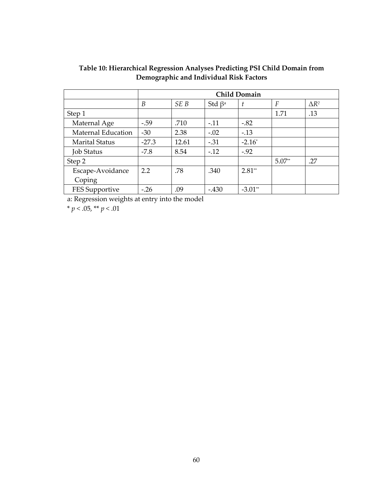|                       | <b>Child Domain</b> |       |                          |           |                |              |
|-----------------------|---------------------|-------|--------------------------|-----------|----------------|--------------|
|                       | B                   | SE B  | Std $\beta$ <sup>a</sup> | t         | $\overline{F}$ | $\Delta R^2$ |
| Step 1                |                     |       |                          |           | 1.71           | .13          |
| Maternal Age          | $-.59$              | .710  | $-.11$                   | $-.82$    |                |              |
| Maternal Education    | $-30$               | 2.38  | $-.02$                   | $-.13$    |                |              |
| <b>Marital Status</b> | $-27.3$             | 12.61 | $-.31$                   | $-2.16*$  |                |              |
| <b>Job Status</b>     | $-7.8$              | 8.54  | $-.12$                   | $-.92$    |                |              |
| Step 2                |                     |       |                          |           | $5.07**$       | .27          |
| Escape-Avoidance      | 2.2                 | .78   | .340                     | $2.81**$  |                |              |
| Coping                |                     |       |                          |           |                |              |
| FES Supportive        | $-.26$              | .09   | $-.430$                  | $-3.01**$ |                |              |

Table 10: Hierarchical Regression Analyses Predicting PSI Child Domain from Demographic and Individual Risk Factors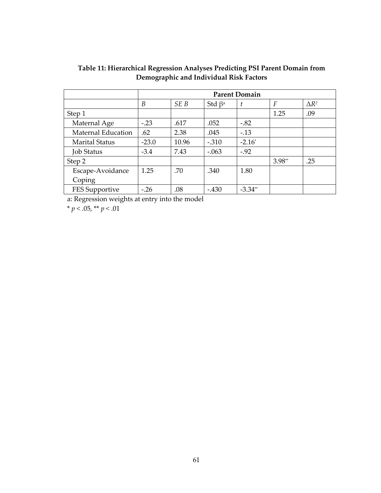|                       | <b>Parent Domain</b> |       |                          |           |          |                 |
|-----------------------|----------------------|-------|--------------------------|-----------|----------|-----------------|
|                       | B                    | SE B  | Std $\beta$ <sup>a</sup> | ŧ         | F        | $\triangle R^2$ |
| Step 1                |                      |       |                          |           | 1.25     | .09             |
| Maternal Age          | $-.23$               | .617  | .052                     | $-.82$    |          |                 |
| Maternal Education    | .62                  | 2.38  | .045                     | $-.13$    |          |                 |
| <b>Marital Status</b> | $-23.0$              | 10.96 | $-.310$                  | $-2.16^*$ |          |                 |
| <b>Job Status</b>     | $-3.4$               | 7.43  | $-.063$                  | $-.92$    |          |                 |
| Step 2                |                      |       |                          |           | $3.98**$ | .25             |
| Escape-Avoidance      | 1.25                 | .70   | .340                     | 1.80      |          |                 |
| Coping                |                      |       |                          |           |          |                 |
| FES Supportive        | $-.26$               | .08   | $-.430$                  | $-3.34**$ |          |                 |

Table 11: Hierarchical Regression Analyses Predicting PSI Parent Domain from Demographic and Individual Risk Factors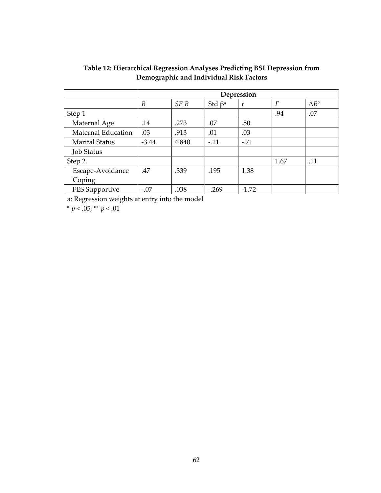|                       | Depression |       |                          |         |      |               |
|-----------------------|------------|-------|--------------------------|---------|------|---------------|
|                       | B          | SE B  | Std $\beta$ <sup>a</sup> | t       | F    | $\Lambda R^2$ |
| Step 1                |            |       |                          |         | .94  | .07           |
| Maternal Age          | .14        | .273  | .07                      | .50     |      |               |
| Maternal Education    | .03        | .913  | .01                      | .03     |      |               |
| <b>Marital Status</b> | $-3.44$    | 4.840 | $-.11$                   | $-.71$  |      |               |
| <b>Job Status</b>     |            |       |                          |         |      |               |
| Step 2                |            |       |                          |         | 1.67 | .11           |
| Escape-Avoidance      | .47        | .339  | .195                     | 1.38    |      |               |
| Coping                |            |       |                          |         |      |               |
| FES Supportive        | $-.07$     | .038  | $-.269$                  | $-1.72$ |      |               |

#### Table 12: Hierarchical Regression Analyses Predicting BSI Depression from Demographic and Individual Risk Factors

a: Regression weights at entry into the model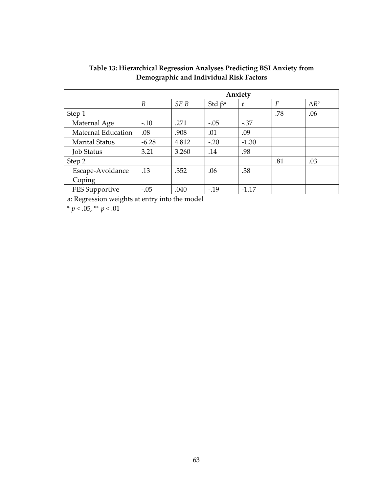|                       | Anxiety |       |                          |         |     |              |
|-----------------------|---------|-------|--------------------------|---------|-----|--------------|
|                       | B       | SE B  | Std $\beta$ <sup>a</sup> | t       | F   | $\Delta R^2$ |
| Step 1                |         |       |                          |         | .78 | .06          |
| Maternal Age          | $-.10$  | .271  | $-.05$                   | $-.37$  |     |              |
| Maternal Education    | .08     | .908  | .01                      | .09     |     |              |
| <b>Marital Status</b> | $-6.28$ | 4.812 | $-.20$                   | $-1.30$ |     |              |
| <b>Job Status</b>     | 3.21    | 3.260 | .14                      | .98     |     |              |
| Step 2                |         |       |                          |         | .81 | .03          |
| Escape-Avoidance      | .13     | .352  | .06                      | .38     |     |              |
| Coping                |         |       |                          |         |     |              |
| FES Supportive        | $-.05$  | .040  | $-19$                    | $-1.17$ |     |              |

Table 13: Hierarchical Regression Analyses Predicting BSI Anxiety from Demographic and Individual Risk Factors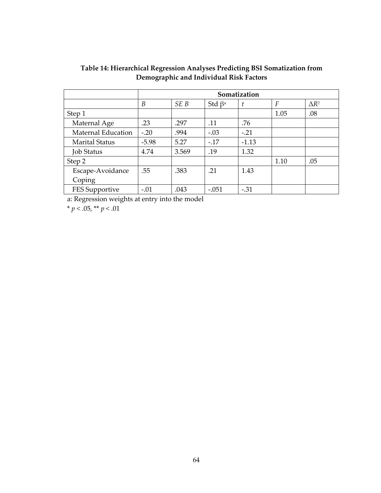|                       | Somatization |       |                          |         |      |               |
|-----------------------|--------------|-------|--------------------------|---------|------|---------------|
|                       | B            | SE B  | Std $\beta$ <sup>a</sup> | t       | F    | $\Lambda R^2$ |
| Step 1                |              |       |                          |         | 1.05 | .08           |
| Maternal Age          | .23          | .297  | .11                      | .76     |      |               |
| Maternal Education    | $-.20$       | .994  | $-.03$                   | $-.21$  |      |               |
| <b>Marital Status</b> | $-5.98$      | 5.27  | $-.17$                   | $-1.13$ |      |               |
| <b>Job Status</b>     | 4.74         | 3.569 | .19                      | 1.32    |      |               |
| Step 2                |              |       |                          |         | 1.10 | .05           |
| Escape-Avoidance      | .55          | .383  | .21                      | 1.43    |      |               |
| Coping                |              |       |                          |         |      |               |
| FES Supportive        | $-.01$       | .043  | $-.051$                  | $-.31$  |      |               |

Table 14: Hierarchical Regression Analyses Predicting BSI Somatization from Demographic and Individual Risk Factors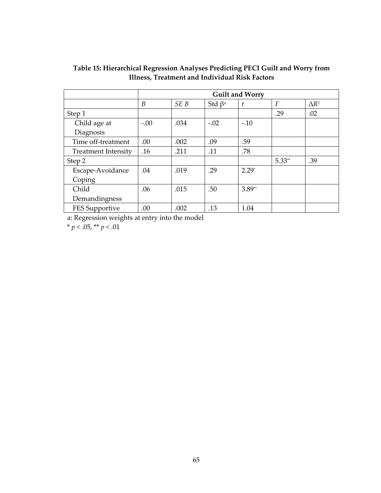|                            | <b>Guilt and Worry</b> |                 |                          |          |          |              |
|----------------------------|------------------------|-----------------|--------------------------|----------|----------|--------------|
|                            | B                      | SE <sub>B</sub> | Std $\beta$ <sup>a</sup> | t        | F        | $\Delta R^2$ |
| Step 1                     |                        |                 |                          |          | .29      | .02          |
| Child age at               | $-.00$                 | .034            | $-.02$                   | $-.10$   |          |              |
| Diagnosis                  |                        |                 |                          |          |          |              |
| Time off-treatment         | .00                    | .002            | .09                      | .59      |          |              |
| <b>Treatment Intensity</b> | .16                    | .211            | .11                      | .78      |          |              |
| Step 2                     |                        |                 |                          |          | $5.33**$ | .39          |
| Escape-Avoidance           | .04                    | .019            | .29                      | $2.29*$  |          |              |
| Coping                     |                        |                 |                          |          |          |              |
| Child                      | .06                    | .015            | .50                      | $3.89**$ |          |              |
| Demandingness              |                        |                 |                          |          |          |              |
| FES Supportive             | .00                    | .002            | .13                      | 1.04     |          |              |

#### Table 15: Hierarchical Regression Analyses Predicting PECI Guilt and Worry from Illness, Treatment and Individual Risk Factors

a: Regression weights at entry into the model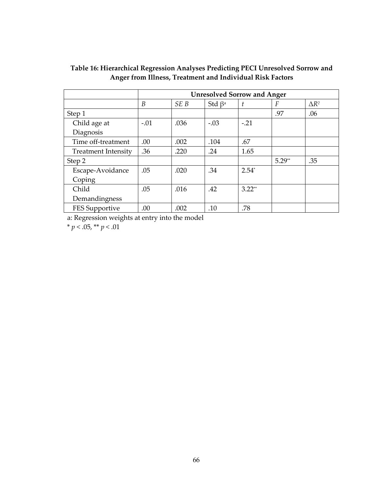|                            | <b>Unresolved Sorrow and Anger</b> |      |                          |          |          |              |
|----------------------------|------------------------------------|------|--------------------------|----------|----------|--------------|
|                            | B                                  | SE B | Std $\beta$ <sup>a</sup> |          | F        | $\Delta R^2$ |
| Step 1                     |                                    |      |                          |          | .97      | .06          |
| Child age at               | $-.01$                             | .036 | $-.03$                   | $-.21$   |          |              |
| Diagnosis                  |                                    |      |                          |          |          |              |
| Time off-treatment         | .00                                | .002 | .104                     | .67      |          |              |
| <b>Treatment Intensity</b> | .36                                | .220 | .24                      | 1.65     |          |              |
| Step 2                     |                                    |      |                          |          | $5.29**$ | .35          |
| Escape-Avoidance           | .05                                | .020 | .34                      | $2.54*$  |          |              |
| Coping                     |                                    |      |                          |          |          |              |
| Child                      | .05                                | .016 | .42                      | $3.22**$ |          |              |
| Demandingness              |                                    |      |                          |          |          |              |
| FES Supportive             | .00                                | .002 | .10                      | .78      |          |              |

#### Table 16: Hierarchical Regression Analyses Predicting PECI Unresolved Sorrow and Anger from Illness, Treatment and Individual Risk Factors

a: Regression weights at entry into the model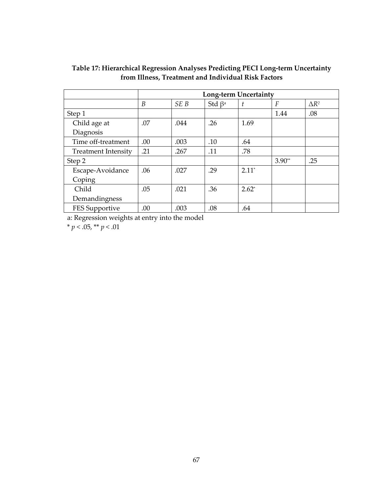|                            | Long-term Uncertainty |                 |                          |         |          |               |
|----------------------------|-----------------------|-----------------|--------------------------|---------|----------|---------------|
|                            | B                     | SE <sub>B</sub> | Std $\beta$ <sup>a</sup> |         | F        | $\Lambda R^2$ |
| Step 1                     |                       |                 |                          |         | 1.44     | .08           |
| Child age at               | .07                   | .044            | .26                      | 1.69    |          |               |
| Diagnosis                  |                       |                 |                          |         |          |               |
| Time off-treatment         | .00                   | .003            | .10                      | .64     |          |               |
| <b>Treatment Intensity</b> | .21                   | .267            | .11                      | .78     |          |               |
| Step 2                     |                       |                 |                          |         | $3.90**$ | .25           |
| Escape-Avoidance           | .06                   | .027            | .29                      | $2.11*$ |          |               |
| Coping                     |                       |                 |                          |         |          |               |
| Child                      | .05                   | .021            | .36                      | $2.62*$ |          |               |
| Demandingness              |                       |                 |                          |         |          |               |
| FES Supportive             | .00                   | .003            | .08                      | .64     |          |               |

Table 17: Hierarchical Regression Analyses Predicting PECI Long-term Uncertainty from Illness, Treatment and Individual Risk Factors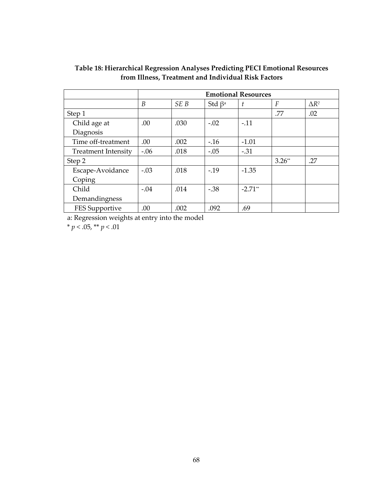|                            | <b>Emotional Resources</b> |                 |                          |           |          |               |
|----------------------------|----------------------------|-----------------|--------------------------|-----------|----------|---------------|
|                            | B                          | SE <sub>B</sub> | Std $\beta$ <sup>a</sup> |           | F        | $\Lambda R^2$ |
| Step 1                     |                            |                 |                          |           | .77      | .02           |
| Child age at               | .00                        | .030            | $-.02$                   | $-.11$    |          |               |
| Diagnosis                  |                            |                 |                          |           |          |               |
| Time off-treatment         | .00                        | .002            | $-.16$                   | $-1.01$   |          |               |
| <b>Treatment Intensity</b> | $-.06$                     | .018            | $-.05$                   | $-.31$    |          |               |
| Step 2                     |                            |                 |                          |           | $3.26**$ | .27           |
| Escape-Avoidance           | $-.03$                     | .018            | $-.19$                   | $-1.35$   |          |               |
| Coping                     |                            |                 |                          |           |          |               |
| Child                      | $-.04$                     | .014            | $-.38$                   | $-2.71**$ |          |               |
| Demandingness              |                            |                 |                          |           |          |               |
| FES Supportive             | .00                        | .002            | .092                     | .69       |          |               |

#### Table 18: Hierarchical Regression Analyses Predicting PECI Emotional Resources from Illness, Treatment and Individual Risk Factors

a: Regression weights at entry into the model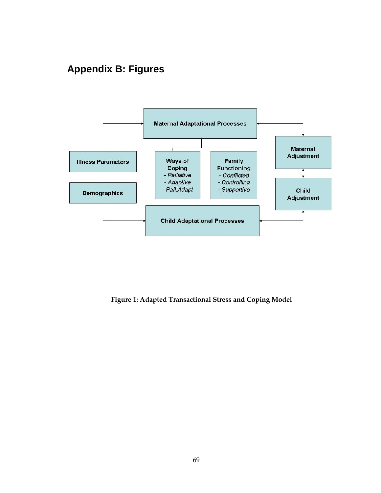# **Appendix B: Figures**



Figure 1: Adapted Transactional Stress and Coping Model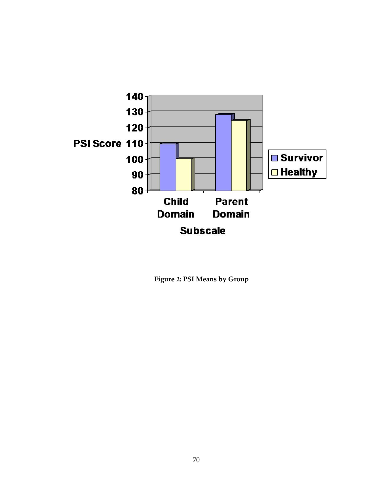

Figure 2: PSI Means by Group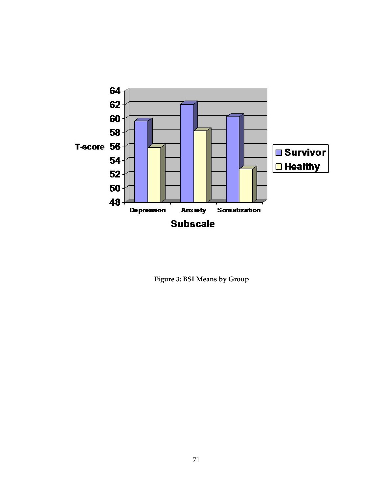

Figure 3: BSI Means by Group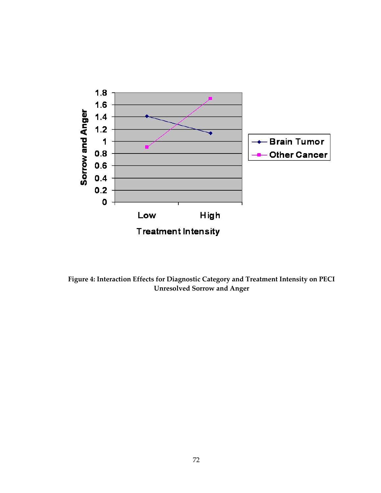

Figure 4: Interaction Effects for Diagnostic Category and Treatment Intensity on PECI Unresolved Sorrow and Anger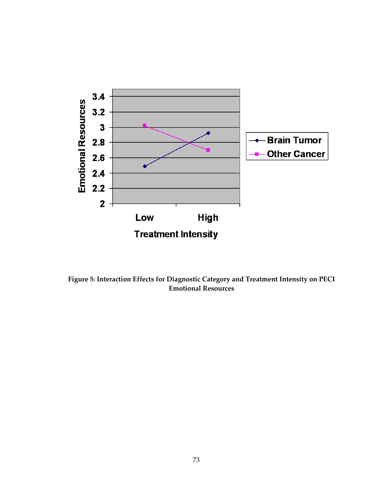

Figure 5: Interaction Effects for Diagnostic Category and Treatment Intensity on PECI Emotional Resources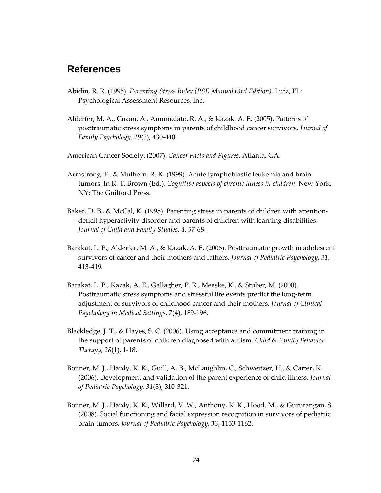### **References**

- Abidin, R. R. (1995). Parenting Stress Index (PSI) Manual (3rd Edition). Lutz, FL: Psychological Assessment Resources, Inc.
- Alderfer, M. A., Cnaan, A., Annunziato, R. A., & Kazak, A. E. (2005). Patterns of posttraumatic stress symptoms in parents of childhood cancer survivors. Journal of Family Psychology, 19(3), 430-440.

American Cancer Society. (2007). Cancer Facts and Figures. Atlanta, GA.

- Armstrong, F., & Mulhern, R. K. (1999). Acute lymphoblastic leukemia and brain tumors. In R. T. Brown (Ed.), Cognitive aspects of chronic illness in children. New York, NY: The Guilford Press.
- Baker, D. B., & McCal, K. (1995). Parenting stress in parents of children with attentiondeficit hyperactivity disorder and parents of children with learning disabilities. Journal of Child and Family Studies, 4, 57-68.
- Barakat, L. P., Alderfer, M. A., & Kazak, A. E. (2006). Posttraumatic growth in adolescent survivors of cancer and their mothers and fathers. Journal of Pediatric Psychology, 31, 413-419.
- Barakat, L. P., Kazak, A. E., Gallagher, P. R., Meeske, K., & Stuber, M. (2000). Posttraumatic stress symptoms and stressful life events predict the long-term adjustment of survivors of childhood cancer and their mothers. Journal of Clinical Psychology in Medical Settings, 7(4), 189-196.
- Blackledge, J. T., & Hayes, S. C. (2006). Using acceptance and commitment training in the support of parents of children diagnosed with autism. Child  $\&$  Family Behavior Therapy, 28(1), 1-18.
- Bonner, M. J., Hardy, K. K., Guill, A. B., McLaughlin, C., Schweitzer, H., & Carter, K. (2006). Development and validation of the parent experience of child illness. Journal of Pediatric Psychology, 31(3), 310-321.
- Bonner, M. J., Hardy, K. K., Willard, V. W., Anthony, K. K., Hood, M., & Gururangan, S. (2008). Social functioning and facial expression recognition in survivors of pediatric brain tumors. Journal of Pediatric Psychology, 33, 1153-1162.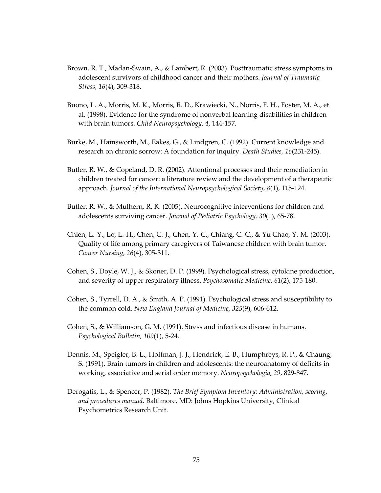- Brown, R. T., Madan-Swain, A., & Lambert, R. (2003). Posttraumatic stress symptoms in adolescent survivors of childhood cancer and their mothers. Journal of Traumatic Stress, 16(4), 309-318.
- Buono, L. A., Morris, M. K., Morris, R. D., Krawiecki, N., Norris, F. H., Foster, M. A., et al. (1998). Evidence for the syndrome of nonverbal learning disabilities in children with brain tumors. Child Neuropsychology, 4, 144-157.
- Burke, M., Hainsworth, M., Eakes, G., & Lindgren, C. (1992). Current knowledge and research on chronic sorrow: A foundation for inquiry. Death Studies, 16(231-245).
- Butler, R. W., & Copeland, D. R. (2002). Attentional processes and their remediation in children treated for cancer: a literature review and the development of a therapeutic approach. Journal of the International Neuropsychological Society, 8(1), 115-124.
- Butler, R. W., & Mulhern, R. K. (2005). Neurocognitive interventions for children and adolescents surviving cancer. Journal of Pediatric Psychology, 30(1), 65-78.
- Chien, L.-Y., Lo, L.-H., Chen, C.-J., Chen, Y.-C., Chiang, C.-C., & Yu Chao, Y.-M. (2003). Quality of life among primary caregivers of Taiwanese children with brain tumor. Cancer Nursing, 26(4), 305-311.
- Cohen, S., Doyle, W. J., & Skoner, D. P. (1999). Psychological stress, cytokine production, and severity of upper respiratory illness. Psychosomatic Medicine, 61(2), 175-180.
- Cohen, S., Tyrrell, D. A., & Smith, A. P. (1991). Psychological stress and susceptibility to the common cold. New England Journal of Medicine, 325(9), 606-612.
- Cohen, S., & Williamson, G. M. (1991). Stress and infectious disease in humans. Psychological Bulletin, 109(1), 5-24.
- Dennis, M., Speigler, B. L., Hoffman, J. J., Hendrick, E. B., Humphreys, R. P., & Chaung, S. (1991). Brain tumors in children and adolescents: the neuroanatomy of deficits in working, associative and serial order memory. Neuropsychologia, 29, 829-847.
- Derogatis, L., & Spencer, P. (1982). The Brief Symptom Inventory: Administration, scoring, and procedures manual. Baltimore, MD: Johns Hopkins University, Clinical Psychometrics Research Unit.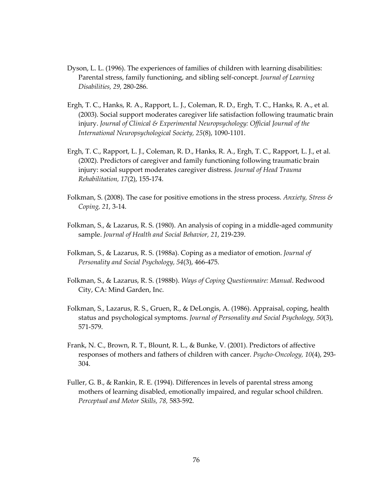- Dyson, L. L. (1996). The experiences of families of children with learning disabilities: Parental stress, family functioning, and sibling self-concept. Journal of Learning Disabilities, 29, 280-286.
- Ergh, T. C., Hanks, R. A., Rapport, L. J., Coleman, R. D., Ergh, T. C., Hanks, R. A., et al. (2003). Social support moderates caregiver life satisfaction following traumatic brain injury. Journal of Clinical & Experimental Neuropsychology: Official Journal of the International Neuropsychological Society, 25(8), 1090-1101.
- Ergh, T. C., Rapport, L. J., Coleman, R. D., Hanks, R. A., Ergh, T. C., Rapport, L. J., et al. (2002). Predictors of caregiver and family functioning following traumatic brain injury: social support moderates caregiver distress. Journal of Head Trauma Rehabilitation, 17(2), 155-174.
- Folkman, S. (2008). The case for positive emotions in the stress process. Anxiety, Stress  $\mathcal{S}$ Coping, 21, 3-14.
- Folkman, S., & Lazarus, R. S. (1980). An analysis of coping in a middle-aged community sample. Journal of Health and Social Behavior, 21, 219-239.
- Folkman, S., & Lazarus, R. S. (1988a). Coping as a mediator of emotion. Journal of Personality and Social Psychology, 54(3), 466-475.
- Folkman, S., & Lazarus, R. S. (1988b). Ways of Coping Questionnaire: Manual. Redwood City, CA: Mind Garden, Inc.
- Folkman, S., Lazarus, R. S., Gruen, R., & DeLongis, A. (1986). Appraisal, coping, health status and psychological symptoms. Journal of Personality and Social Psychology, 50(3), 571-579.
- Frank, N. C., Brown, R. T., Blount, R. L., & Bunke, V. (2001). Predictors of affective responses of mothers and fathers of children with cancer. Psycho-Oncology, 10(4), 293- 304.
- Fuller, G. B., & Rankin, R. E. (1994). Differences in levels of parental stress among mothers of learning disabled, emotionally impaired, and regular school children. Perceptual and Motor Skills, 78, 583-592.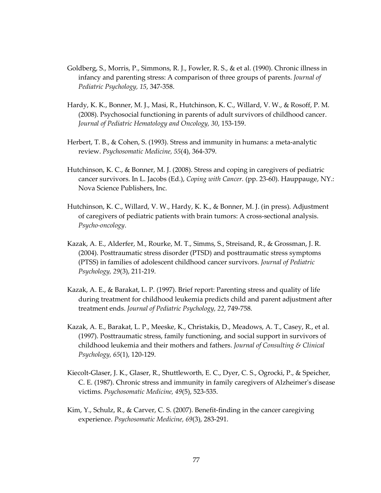- Goldberg, S., Morris, P., Simmons, R. J., Fowler, R. S., & et al. (1990). Chronic illness in infancy and parenting stress: A comparison of three groups of parents. Journal of Pediatric Psychology, 15, 347-358.
- Hardy, K. K., Bonner, M. J., Masi, R., Hutchinson, K. C., Willard, V. W., & Rosoff, P. M. (2008). Psychosocial functioning in parents of adult survivors of childhood cancer. Journal of Pediatric Hematology and Oncology, 30, 153-159.
- Herbert, T. B., & Cohen, S. (1993). Stress and immunity in humans: a meta-analytic review. Psychosomatic Medicine, 55(4), 364-379.
- Hutchinson, K. C., & Bonner, M. J. (2008). Stress and coping in caregivers of pediatric cancer survivors. In L. Jacobs (Ed.), Coping with Cancer. (pp. 23-60). Hauppauge, NY.: Nova Science Publishers, Inc.
- Hutchinson, K. C., Willard, V. W., Hardy, K. K., & Bonner, M. J. (in press). Adjustment of caregivers of pediatric patients with brain tumors: A cross-sectional analysis. Psycho-oncology.
- Kazak, A. E., Alderfer, M., Rourke, M. T., Simms, S., Streisand, R., & Grossman, J. R. (2004). Posttraumatic stress disorder (PTSD) and posttraumatic stress symptoms (PTSS) in families of adolescent childhood cancer survivors. Journal of Pediatric Psychology, 29(3), 211-219.
- Kazak, A. E., & Barakat, L. P. (1997). Brief report: Parenting stress and quality of life during treatment for childhood leukemia predicts child and parent adjustment after treatment ends. Journal of Pediatric Psychology, 22, 749-758.
- Kazak, A. E., Barakat, L. P., Meeske, K., Christakis, D., Meadows, A. T., Casey, R., et al. (1997). Posttraumatic stress, family functioning, and social support in survivors of childhood leukemia and their mothers and fathers. Journal of Consulting  $\&$  Clinical Psychology, 65(1), 120-129.
- Kiecolt-Glaser, J. K., Glaser, R., Shuttleworth, E. C., Dyer, C. S., Ogrocki, P., & Speicher, C. E. (1987). Chronic stress and immunity in family caregivers of Alzheimer's disease victims. Psychosomatic Medicine, 49(5), 523-535.
- Kim, Y., Schulz, R., & Carver, C. S. (2007). Benefit-finding in the cancer caregiving experience. Psychosomatic Medicine, 69(3), 283-291.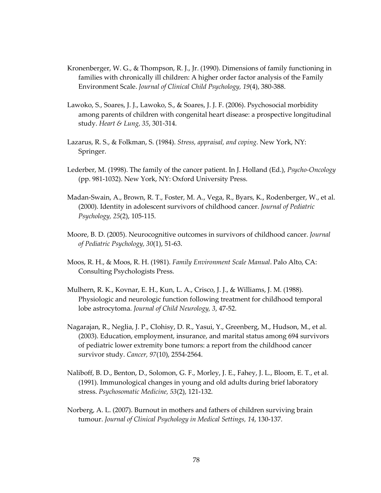- Kronenberger, W. G., & Thompson, R. J., Jr. (1990). Dimensions of family functioning in families with chronically ill children: A higher order factor analysis of the Family Environment Scale. Journal of Clinical Child Psychology, 19(4), 380-388.
- Lawoko, S., Soares, J. J., Lawoko, S., & Soares, J. J. F. (2006). Psychosocial morbidity among parents of children with congenital heart disease: a prospective longitudinal study. Heart & Lung, 35, 301-314.
- Lazarus, R. S., & Folkman, S. (1984). Stress, appraisal, and coping. New York, NY: Springer.
- Lederber, M. (1998). The family of the cancer patient. In J. Holland (Ed.), Psycho-Oncology (pp. 981-1032). New York, NY: Oxford University Press.
- Madan-Swain, A., Brown, R. T., Foster, M. A., Vega, R., Byars, K., Rodenberger, W., et al. (2000). Identity in adolescent survivors of childhood cancer. Journal of Pediatric Psychology, 25(2), 105-115.
- Moore, B. D. (2005). Neurocognitive outcomes in survivors of childhood cancer. Journal of Pediatric Psychology, 30(1), 51-63.
- Moos, R. H., & Moos, R. H. (1981). Family Environment Scale Manual. Palo Alto, CA: Consulting Psychologists Press.
- Mulhern, R. K., Kovnar, E. H., Kun, L. A., Crisco, J. J., & Williams, J. M. (1988). Physiologic and neurologic function following treatment for childhood temporal lobe astrocytoma. Journal of Child Neurology, 3, 47-52.
- Nagarajan, R., Neglia, J. P., Clohisy, D. R., Yasui, Y., Greenberg, M., Hudson, M., et al. (2003). Education, employment, insurance, and marital status among 694 survivors of pediatric lower extremity bone tumors: a report from the childhood cancer survivor study. Cancer, 97(10), 2554-2564.
- Naliboff, B. D., Benton, D., Solomon, G. F., Morley, J. E., Fahey, J. L., Bloom, E. T., et al. (1991). Immunological changes in young and old adults during brief laboratory stress. Psychosomatic Medicine, 53(2), 121-132.
- Norberg, A. L. (2007). Burnout in mothers and fathers of children surviving brain tumour. Journal of Clinical Psychology in Medical Settings, 14, 130-137.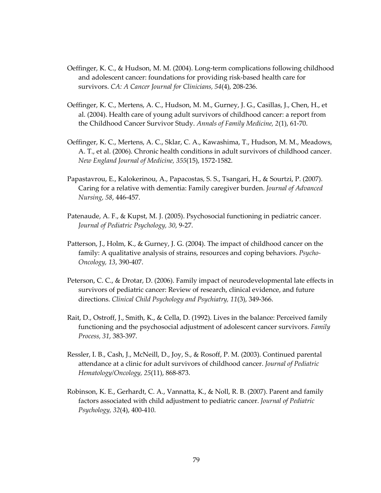- Oeffinger, K. C., & Hudson, M. M. (2004). Long-term complications following childhood and adolescent cancer: foundations for providing risk-based health care for survivors. CA: A Cancer Journal for Clinicians, 54(4), 208-236.
- Oeffinger, K. C., Mertens, A. C., Hudson, M. M., Gurney, J. G., Casillas, J., Chen, H., et al. (2004). Health care of young adult survivors of childhood cancer: a report from the Childhood Cancer Survivor Study. Annals of Family Medicine, 2(1), 61-70.
- Oeffinger, K. C., Mertens, A. C., Sklar, C. A., Kawashima, T., Hudson, M. M., Meadows, A. T., et al. (2006). Chronic health conditions in adult survivors of childhood cancer. New England Journal of Medicine, 355(15), 1572-1582.
- Papastavrou, E., Kalokerinou, A., Papacostas, S. S., Tsangari, H., & Sourtzi, P. (2007). Caring for a relative with dementia: Family caregiver burden. Journal of Advanced Nursing, 58, 446-457.
- Patenaude, A. F., & Kupst, M. J. (2005). Psychosocial functioning in pediatric cancer. Journal of Pediatric Psychology, 30, 9-27.
- Patterson, J., Holm, K., & Gurney, J. G. (2004). The impact of childhood cancer on the family: A qualitative analysis of strains, resources and coping behaviors. *Psycho-*Oncology, 13, 390-407.
- Peterson, C. C., & Drotar, D. (2006). Family impact of neurodevelopmental late effects in survivors of pediatric cancer: Review of research, clinical evidence, and future directions. Clinical Child Psychology and Psychiatry, 11(3), 349-366.
- Rait, D., Ostroff, J., Smith, K., & Cella, D. (1992). Lives in the balance: Perceived family functioning and the psychosocial adjustment of adolescent cancer survivors. Family Process, 31, 383-397.
- Ressler, I. B., Cash, J., McNeill, D., Joy, S., & Rosoff, P. M. (2003). Continued parental attendance at a clinic for adult survivors of childhood cancer. Journal of Pediatric Hematology/Oncology, 25(11), 868-873.
- Robinson, K. E., Gerhardt, C. A., Vannatta, K., & Noll, R. B. (2007). Parent and family factors associated with child adjustment to pediatric cancer. Journal of Pediatric Psychology, 32(4), 400-410.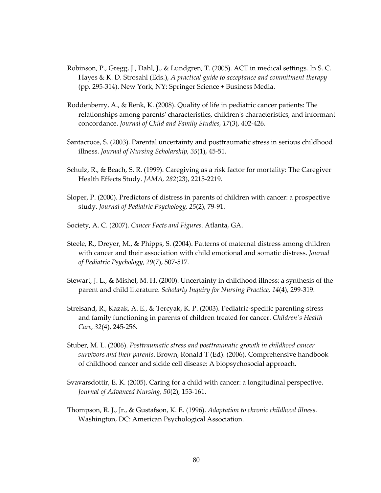- Robinson, P., Gregg, J., Dahl, J., & Lundgren, T. (2005). ACT in medical settings. In S. C. Hayes & K. D. Strosahl (Eds.), A practical guide to acceptance and commitment therapy (pp. 295-314). New York, NY: Springer Science + Business Media.
- Roddenberry, A., & Renk, K. (2008). Quality of life in pediatric cancer patients: The relationships among parents' characteristics, children's characteristics, and informant concordance. Journal of Child and Family Studies, 17(3), 402-426.
- Santacroce, S. (2003). Parental uncertainty and posttraumatic stress in serious childhood illness. Journal of Nursing Scholarship, 35(1), 45-51.
- Schulz, R., & Beach, S. R. (1999). Caregiving as a risk factor for mortality: The Caregiver Health Effects Study. JAMA, 282(23), 2215-2219.
- Sloper, P. (2000). Predictors of distress in parents of children with cancer: a prospective study. Journal of Pediatric Psychology, 25(2), 79-91.
- Society, A. C. (2007). Cancer Facts and Figures. Atlanta, GA.
- Steele, R., Dreyer, M., & Phipps, S. (2004). Patterns of maternal distress among children with cancer and their association with child emotional and somatic distress. Journal of Pediatric Psychology, 29(7), 507-517.
- Stewart, J. L., & Mishel, M. H. (2000). Uncertainty in childhood illness: a synthesis of the parent and child literature. Scholarly Inquiry for Nursing Practice, 14(4), 299-319.
- Streisand, R., Kazak, A. E., & Tercyak, K. P. (2003). Pediatric-specific parenting stress and family functioning in parents of children treated for cancer. Children's Health Care, 32(4), 245-256.
- Stuber, M. L. (2006). Posttraumatic stress and posttraumatic growth in childhood cancer survivors and their parents. Brown, Ronald T (Ed). (2006). Comprehensive handbook of childhood cancer and sickle cell disease: A biopsychosocial approach.
- Svavarsdottir, E. K. (2005). Caring for a child with cancer: a longitudinal perspective. Journal of Advanced Nursing, 50(2), 153-161.
- Thompson, R. J., Jr., & Gustafson, K. E. (1996). Adaptation to chronic childhood illness. Washington, DC: American Psychological Association.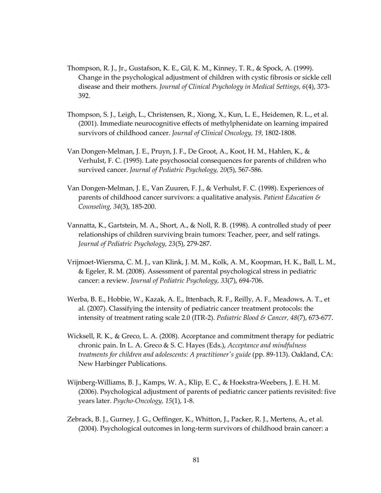- Thompson, R. J., Jr., Gustafson, K. E., Gil, K. M., Kinney, T. R., & Spock, A. (1999). Change in the psychological adjustment of children with cystic fibrosis or sickle cell disease and their mothers. Journal of Clinical Psychology in Medical Settings, 6(4), 373- 392.
- Thompson, S. J., Leigh, L., Christensen, R., Xiong, X., Kun, L. E., Heidemen, R. L., et al. (2001). Immediate neurocognitive effects of methylphenidate on learning impaired survivors of childhood cancer. Journal of Clinical Oncology, 19, 1802-1808.
- Van Dongen-Melman, J. E., Pruyn, J. F., De Groot, A., Koot, H. M., Hahlen, K., & Verhulst, F. C. (1995). Late psychosocial consequences for parents of children who survived cancer. Journal of Pediatric Psychology, 20(5), 567-586.
- Van Dongen-Melman, J. E., Van Zuuren, F. J., & Verhulst, F. C. (1998). Experiences of parents of childhood cancer survivors: a qualitative analysis. Patient Education  $\mathcal S$ Counseling, 34(3), 185-200.
- Vannatta, K., Gartstein, M. A., Short, A., & Noll, R. B. (1998). A controlled study of peer relationships of children surviving brain tumors: Teacher, peer, and self ratings. Journal of Pediatric Psychology, 23(5), 279-287.
- Vrijmoet-Wiersma, C. M. J., van Klink, J. M. M., Kolk, A. M., Koopman, H. K., Ball, L. M., & Egeler, R. M. (2008). Assessment of parental psychological stress in pediatric cancer: a review. Journal of Pediatric Psychology, 33(7), 694-706.
- Werba, B. E., Hobbie, W., Kazak, A. E., Ittenbach, R. F., Reilly, A. F., Meadows, A. T., et al. (2007). Classifying the intensity of pediatric cancer treatment protocols: the intensity of treatment rating scale 2.0 (ITR-2). Pediatric Blood & Cancer, 48(7), 673-677.
- Wicksell, R. K., & Greco, L. A. (2008). Acceptance and commitment therapy for pediatric chronic pain. In L. A. Greco & S. C. Hayes (Eds.), Acceptance and mindfulness treatments for children and adolescents: A practitioner's guide (pp. 89-113). Oakland, CA: New Harbinger Publications.
- Wijnberg-Williams, B. J., Kamps, W. A., Klip, E. C., & Hoekstra-Weebers, J. E. H. M. (2006). Psychological adjustment of parents of pediatric cancer patients revisited: five years later. Psycho-Oncology, 15(1), 1-8.
- Zebrack, B. J., Gurney, J. G., Oeffinger, K., Whitton, J., Packer, R. J., Mertens, A., et al. (2004). Psychological outcomes in long-term survivors of childhood brain cancer: a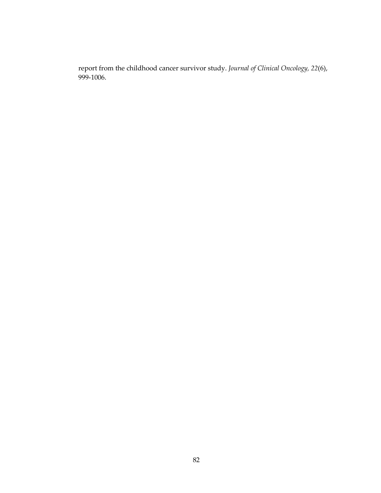report from the childhood cancer survivor study. Journal of Clinical Oncology, 22(6), 999-1006.